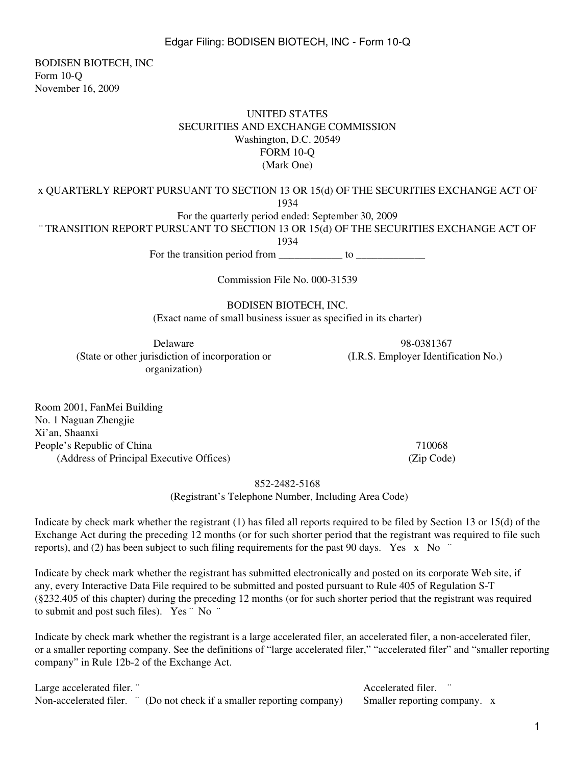BODISEN BIOTECH, INC Form 10-Q November 16, 2009

#### UNITED STATES SECURITIES AND EXCHANGE COMMISSION Washington, D.C. 20549 FORM 10-Q (Mark One)

x QUARTERLY REPORT PURSUANT TO SECTION 13 OR 15(d) OF THE SECURITIES EXCHANGE ACT OF 1934

For the quarterly period ended: September 30, 2009

¨ TRANSITION REPORT PURSUANT TO SECTION 13 OR 15(d) OF THE SECURITIES EXCHANGE ACT OF

1934

For the transition period from  $\frac{\ }{\ }$  to  $\frac{\ }{\ }$ 

Commission File No. 000-31539

BODISEN BIOTECH, INC. (Exact name of small business issuer as specified in its charter)

Delaware 98-0381367 (State or other jurisdiction of incorporation or organization)

(I.R.S. Employer Identification No.)

Room 2001, FanMei Building No. 1 Naguan Zhengjie Xi'an, Shaanxi People's Republic of China 710068 (Address of Principal Executive Offices) (Zip Code)

852-2482-5168

(Registrant's Telephone Number, Including Area Code)

Indicate by check mark whether the registrant (1) has filed all reports required to be filed by Section 13 or 15(d) of the Exchange Act during the preceding 12 months (or for such shorter period that the registrant was required to file such reports), and (2) has been subject to such filing requirements for the past 90 days. Yes  $\bar{x}$  No  $\dot{\bar{x}}$ 

Indicate by check mark whether the registrant has submitted electronically and posted on its corporate Web site, if any, every Interactive Data File required to be submitted and posted pursuant to Rule 405 of Regulation S-T (§232.405 of this chapter) during the preceding 12 months (or for such shorter period that the registrant was required to submit and post such files). Yes ¨ No ¨

Indicate by check mark whether the registrant is a large accelerated filer, an accelerated filer, a non-accelerated filer, or a smaller reporting company. See the definitions of "large accelerated filer," "accelerated filer" and "smaller reporting company" in Rule 12b-2 of the Exchange Act.

| Large accelerated filer. " |                                                                        | Accelerated filer.           |  |
|----------------------------|------------------------------------------------------------------------|------------------------------|--|
|                            | Non-accelerated filer. " (Do not check if a smaller reporting company) | Smaller reporting company. x |  |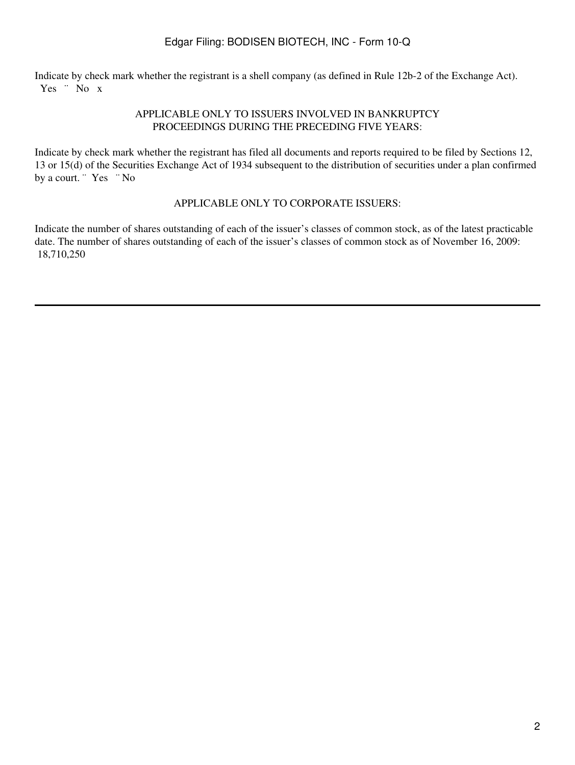Indicate by check mark whether the registrant is a shell company (as defined in Rule 12b-2 of the Exchange Act). Yes " No x

#### APPLICABLE ONLY TO ISSUERS INVOLVED IN BANKRUPTCY PROCEEDINGS DURING THE PRECEDING FIVE YEARS:

Indicate by check mark whether the registrant has filed all documents and reports required to be filed by Sections 12, 13 or 15(d) of the Securities Exchange Act of 1934 subsequent to the distribution of securities under a plan confirmed by a court. "Yes "No

#### APPLICABLE ONLY TO CORPORATE ISSUERS:

Indicate the number of shares outstanding of each of the issuer's classes of common stock, as of the latest practicable date. The number of shares outstanding of each of the issuer's classes of common stock as of November 16, 2009: 18,710,250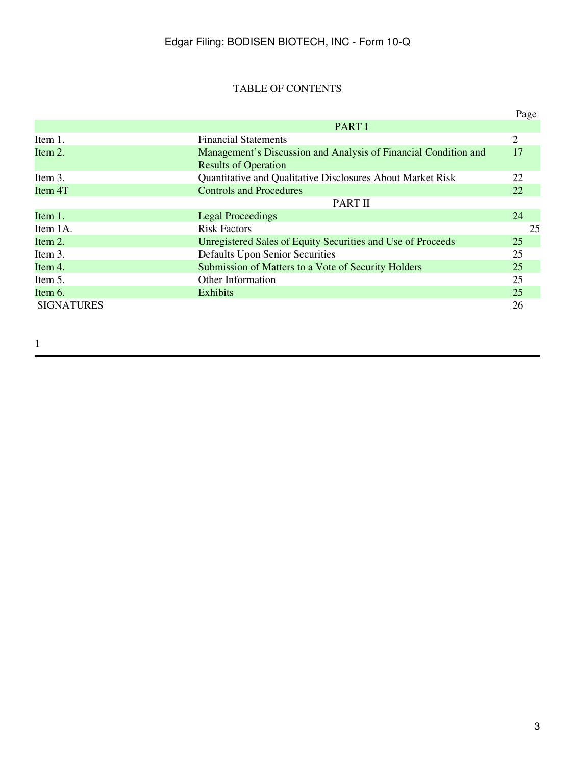# TABLE OF CONTENTS

|                   |                                                                 | Page |
|-------------------|-----------------------------------------------------------------|------|
|                   | <b>PART I</b>                                                   |      |
| Item 1.           | <b>Financial Statements</b>                                     | 2    |
| Item 2.           | Management's Discussion and Analysis of Financial Condition and | 17   |
|                   | <b>Results of Operation</b>                                     |      |
| Item 3.           | Quantitative and Qualitative Disclosures About Market Risk      | 22   |
| Item 4T           | <b>Controls and Procedures</b>                                  | 22   |
|                   | PART II                                                         |      |
| Item 1.           | <b>Legal Proceedings</b>                                        | 24   |
| Item 1A.          | <b>Risk Factors</b>                                             | 25   |
| Item 2.           | Unregistered Sales of Equity Securities and Use of Proceeds     | 25   |
| Item 3.           | Defaults Upon Senior Securities                                 | 25   |
| Item 4.           | Submission of Matters to a Vote of Security Holders             | 25   |
| Item 5.           | <b>Other Information</b>                                        | 25   |
| Item 6.           | <b>Exhibits</b>                                                 | 25   |
| <b>SIGNATURES</b> |                                                                 | 26   |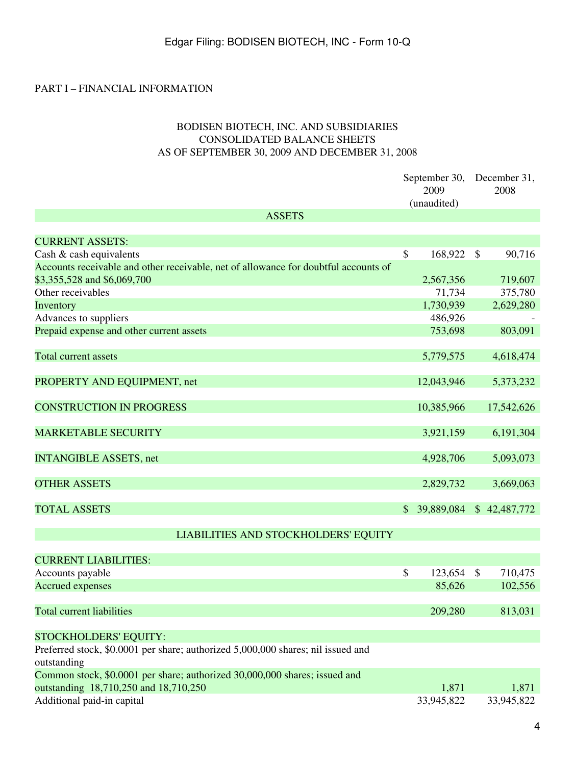### PART I – FINANCIAL INFORMATION

### BODISEN BIOTECH, INC. AND SUBSIDIARIES CONSOLIDATED BALANCE SHEETS AS OF SEPTEMBER 30, 2009 AND DECEMBER 31, 2008

|                                                                                     |              | September 30,<br>2009<br>(unaudited) |              | December 31,<br>2008 |
|-------------------------------------------------------------------------------------|--------------|--------------------------------------|--------------|----------------------|
| <b>ASSETS</b>                                                                       |              |                                      |              |                      |
|                                                                                     |              |                                      |              |                      |
| <b>CURRENT ASSETS:</b>                                                              |              |                                      |              |                      |
| Cash & cash equivalents                                                             | \$           | 168,922                              | $\mathbb{S}$ | 90,716               |
| Accounts receivable and other receivable, net of allowance for doubtful accounts of |              |                                      |              |                      |
| \$3,355,528 and \$6,069,700                                                         |              | 2,567,356                            |              | 719,607              |
| Other receivables                                                                   |              | 71,734                               |              | 375,780              |
| Inventory                                                                           |              | 1,730,939                            |              | 2,629,280            |
| Advances to suppliers                                                               |              | 486,926                              |              |                      |
| Prepaid expense and other current assets                                            |              | 753,698                              |              | 803,091              |
|                                                                                     |              |                                      |              |                      |
| <b>Total current assets</b>                                                         |              | 5,779,575                            |              | 4,618,474            |
|                                                                                     |              |                                      |              |                      |
| PROPERTY AND EQUIPMENT, net                                                         |              | 12,043,946                           |              | 5,373,232            |
| <b>CONSTRUCTION IN PROGRESS</b>                                                     |              | 10,385,966                           |              | 17,542,626           |
|                                                                                     |              |                                      |              |                      |
| <b>MARKETABLE SECURITY</b>                                                          |              | 3,921,159                            |              | 6,191,304            |
|                                                                                     |              |                                      |              |                      |
| <b>INTANGIBLE ASSETS, net</b>                                                       |              | 4,928,706                            |              | 5,093,073            |
|                                                                                     |              |                                      |              |                      |
| <b>OTHER ASSETS</b>                                                                 |              | 2,829,732                            |              | 3,669,063            |
|                                                                                     |              |                                      |              |                      |
| <b>TOTAL ASSETS</b>                                                                 | $\mathbb{S}$ | 39,889,084                           |              | \$42,487,772         |
|                                                                                     |              |                                      |              |                      |
| LIABILITIES AND STOCKHOLDERS' EQUITY                                                |              |                                      |              |                      |
| <b>CURRENT LIABILITIES:</b>                                                         |              |                                      |              |                      |
| Accounts payable                                                                    | \$           | 123,654                              | $\mathbb{S}$ | 710,475              |
| <b>Accrued expenses</b>                                                             |              | 85,626                               |              | 102,556              |
|                                                                                     |              |                                      |              |                      |
| <b>Total current liabilities</b>                                                    |              | 209,280                              |              | 813,031              |
|                                                                                     |              |                                      |              |                      |
| <b>STOCKHOLDERS' EQUITY:</b>                                                        |              |                                      |              |                      |
| Preferred stock, \$0.0001 per share; authorized 5,000,000 shares; nil issued and    |              |                                      |              |                      |
| outstanding                                                                         |              |                                      |              |                      |
| Common stock, \$0.0001 per share; authorized 30,000,000 shares; issued and          |              |                                      |              |                      |
| outstanding 18,710,250 and 18,710,250                                               |              | 1,871                                |              | 1,871                |
| Additional paid-in capital                                                          |              | 33,945,822                           |              | 33,945,822           |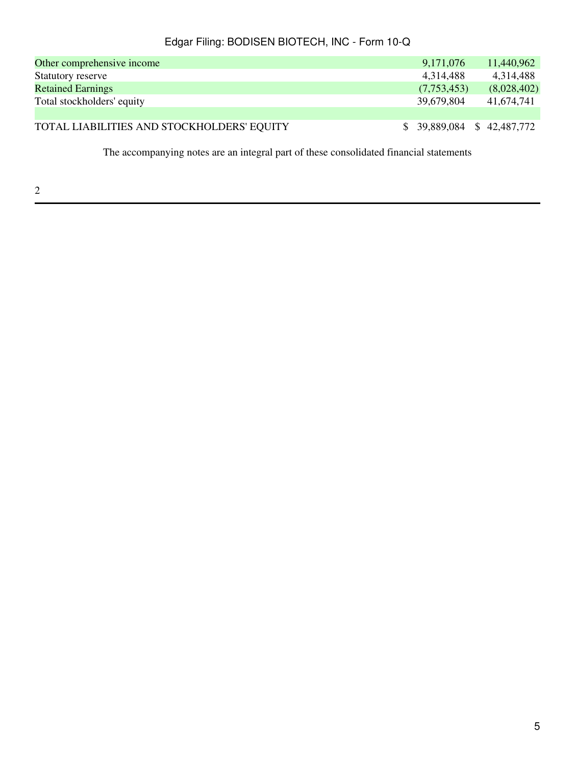| Other comprehensive income                 | 9,171,076                   | 11,440,962  |
|--------------------------------------------|-----------------------------|-------------|
| Statutory reserve                          | 4,314,488                   | 4,314,488   |
| <b>Retained Earnings</b>                   | (7,753,453)                 | (8,028,402) |
| Total stockholders' equity                 | 39,679,804                  | 41,674,741  |
|                                            |                             |             |
| TOTAL LIABILITIES AND STOCKHOLDERS' EQUITY | $$39,889,084$ $$42,487,772$ |             |

The accompanying notes are an integral part of these consolidated financial statements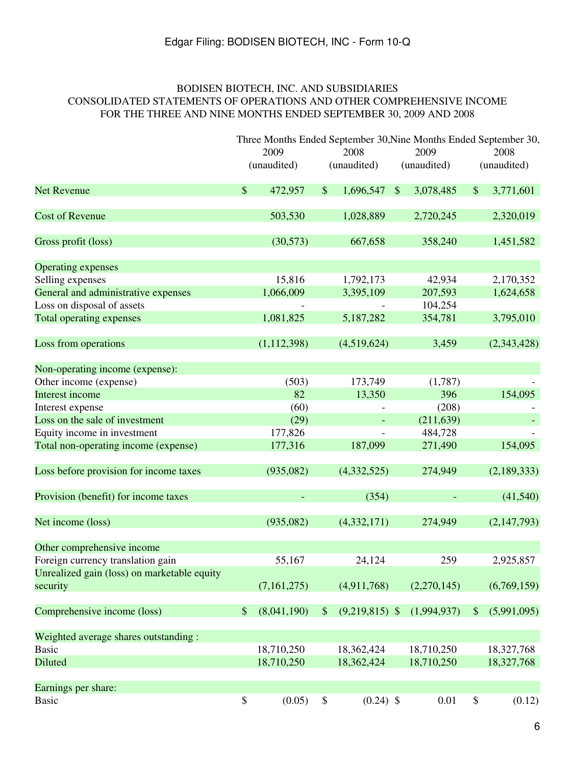### BODISEN BIOTECH, INC. AND SUBSIDIARIES CONSOLIDATED STATEMENTS OF OPERATIONS AND OTHER COMPREHENSIVE INCOME FOR THE THREE AND NINE MONTHS ENDED SEPTEMBER 30, 2009 AND 2008

|                                             |               | Three Months Ended September 30, Nine Months Ended September 30, |               |                  |               |             |      |             |
|---------------------------------------------|---------------|------------------------------------------------------------------|---------------|------------------|---------------|-------------|------|-------------|
|                                             |               | 2009                                                             |               | 2008             | 2009          |             | 2008 |             |
|                                             |               | (unaudited)                                                      |               | (unaudited)      |               | (unaudited) |      | (unaudited) |
| <b>Net Revenue</b>                          | $\mathcal{S}$ | 472,957                                                          | $\mathcal{S}$ | 1,696,547        | $\mathcal{S}$ | 3,078,485   | \$   | 3,771,601   |
| <b>Cost of Revenue</b>                      |               | 503,530                                                          |               | 1,028,889        |               | 2,720,245   |      | 2,320,019   |
| Gross profit (loss)                         |               | (30,573)                                                         |               | 667,658          |               | 358,240     |      | 1,451,582   |
| <b>Operating expenses</b>                   |               |                                                                  |               |                  |               |             |      |             |
| Selling expenses                            |               | 15,816                                                           |               | 1,792,173        |               | 42,934      |      | 2,170,352   |
| General and administrative expenses         |               | 1,066,009                                                        |               | 3,395,109        |               | 207,593     |      | 1,624,658   |
| Loss on disposal of assets                  |               |                                                                  |               |                  |               | 104,254     |      |             |
| <b>Total operating expenses</b>             |               | 1,081,825                                                        |               | 5,187,282        |               | 354,781     |      | 3,795,010   |
| Loss from operations                        |               | (1, 112, 398)                                                    |               | (4,519,624)      |               | 3,459       |      | (2,343,428) |
| Non-operating income (expense):             |               |                                                                  |               |                  |               |             |      |             |
| Other income (expense)                      |               | (503)                                                            |               | 173,749          |               | (1,787)     |      |             |
| Interest income                             |               | 82                                                               |               | 13,350           |               | 396         |      | 154,095     |
| Interest expense                            |               | (60)                                                             |               |                  |               | (208)       |      |             |
| Loss on the sale of investment              |               | (29)                                                             |               |                  |               | (211, 639)  |      |             |
| Equity income in investment                 |               | 177,826                                                          |               |                  |               | 484,728     |      |             |
| Total non-operating income (expense)        |               | 177,316                                                          |               | 187,099          |               | 271,490     |      | 154,095     |
| Loss before provision for income taxes      |               | (935,082)                                                        |               | (4,332,525)      |               | 274,949     |      | (2,189,333) |
| Provision (benefit) for income taxes        |               |                                                                  |               | (354)            |               |             |      | (41,540)    |
| Net income (loss)                           |               | (935,082)                                                        |               | (4,332,171)      |               | 274,949     |      | (2,147,793) |
| Other comprehensive income                  |               |                                                                  |               |                  |               |             |      |             |
| Foreign currency translation gain           |               | 55,167                                                           |               | 24,124           |               | 259         |      | 2,925,857   |
| Unrealized gain (loss) on marketable equity |               |                                                                  |               |                  |               |             |      |             |
| security                                    |               | (7,161,275)                                                      |               | (4,911,768)      |               | (2,270,145) |      | (6,769,159) |
| Comprehensive income (loss)                 | \$            | (8,041,190)                                                      | $\frac{1}{2}$ | $(9,219,815)$ \$ |               | (1,994,937) | \$   | (5,991,095) |
| Weighted average shares outstanding:        |               |                                                                  |               |                  |               |             |      |             |
| <b>Basic</b>                                |               | 18,710,250                                                       |               | 18,362,424       |               | 18,710,250  |      | 18,327,768  |
| Diluted                                     |               | 18,710,250                                                       |               | 18,362,424       |               | 18,710,250  |      | 18,327,768  |
| Earnings per share:                         |               |                                                                  |               |                  |               |             |      |             |
| <b>Basic</b>                                | \$            | (0.05)                                                           | \$            | $(0.24)$ \$      |               | 0.01        | \$   | (0.12)      |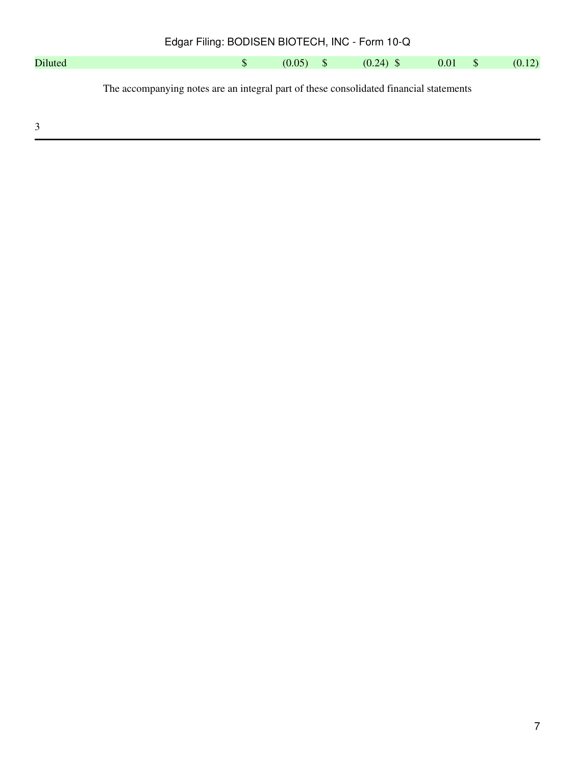| Edgar Filing: BODISEN BIOTECH, INC - Form 10-Q                                         |  |              |             |  |             |      |      |        |
|----------------------------------------------------------------------------------------|--|--------------|-------------|--|-------------|------|------|--------|
| Diluted                                                                                |  | <sup>S</sup> | $(0.05)$ \$ |  | $(0.24)$ \$ | 0.01 | - \$ | (0.12) |
| The accompanying notes are an integral part of these consolidated financial statements |  |              |             |  |             |      |      |        |
| 3                                                                                      |  |              |             |  |             |      |      |        |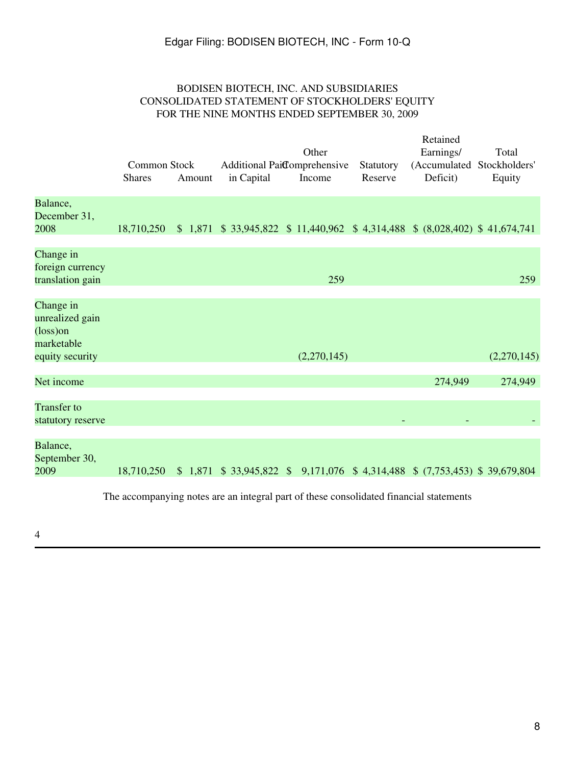### BODISEN BIOTECH, INC. AND SUBSIDIARIES CONSOLIDATED STATEMENT OF STOCKHOLDERS' EQUITY FOR THE NINE MONTHS ENDED SEPTEMBER 30, 2009

|                                                                                     | Common Stock<br><b>Shares</b> | Amount | in Capital | Other<br>Additional Paidomprehensive<br>Income                                | Statutory<br>Reserve | Retained<br>Earnings/<br>(Accumulated Stockholders'<br>Deficit) | Total<br>Equity |
|-------------------------------------------------------------------------------------|-------------------------------|--------|------------|-------------------------------------------------------------------------------|----------------------|-----------------------------------------------------------------|-----------------|
| Balance,<br>December 31,<br>2008                                                    | 18,710,250                    |        |            | \$1,871 \$33,945,822 \$11,440,962 \$4,314,488 \$(8,028,402) \$41,674,741      |                      |                                                                 |                 |
| Change in<br>foreign currency<br>translation gain                                   |                               |        |            | 259                                                                           |                      |                                                                 | 259             |
| Change in<br>unrealized gain<br>$(\text{loss})$ on<br>marketable<br>equity security |                               |        |            | (2,270,145)                                                                   |                      |                                                                 | (2,270,145)     |
| Net income                                                                          |                               |        |            |                                                                               |                      | 274,949                                                         | 274,949         |
| <b>Transfer to</b><br>statutory reserve                                             |                               |        |            |                                                                               |                      |                                                                 |                 |
| Balance,<br>September 30,<br>2009                                                   | 18,710,250                    |        |            | $$1,871$ $$33,945,822$ $$9,171,076$ $$4,314,488$ $$(7,753,453)$ $$39,679,804$ |                      |                                                                 |                 |

The accompanying notes are an integral part of these consolidated financial statements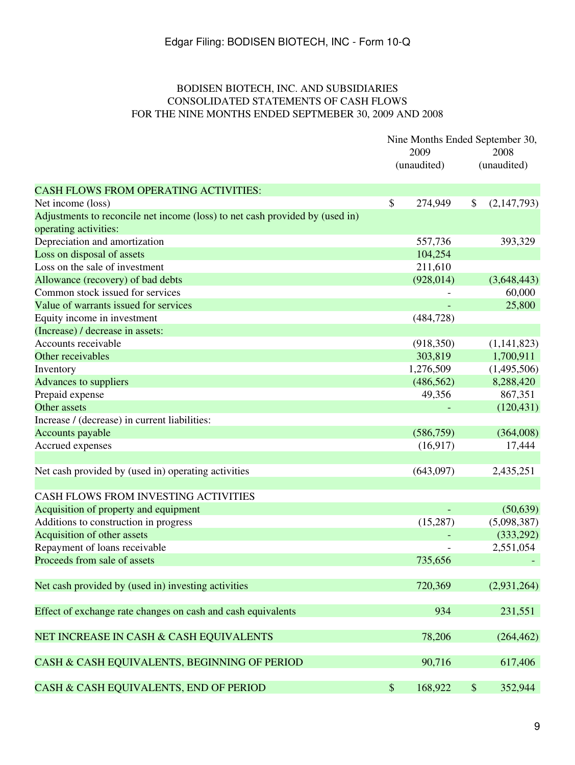### BODISEN BIOTECH, INC. AND SUBSIDIARIES CONSOLIDATED STATEMENTS OF CASH FLOWS FOR THE NINE MONTHS ENDED SEPTMEBER 30, 2009 AND 2008

|                                                                              | Nine Months Ended September 30, |             |    |             |
|------------------------------------------------------------------------------|---------------------------------|-------------|----|-------------|
|                                                                              |                                 | 2009        |    | 2008        |
|                                                                              |                                 | (unaudited) |    | (unaudited) |
| <b>CASH FLOWS FROM OPERATING ACTIVITIES:</b>                                 |                                 |             |    |             |
| Net income (loss)                                                            | \$                              | 274,949     | \$ | (2,147,793) |
| Adjustments to reconcile net income (loss) to net cash provided by (used in) |                                 |             |    |             |
| operating activities:                                                        |                                 |             |    |             |
| Depreciation and amortization                                                |                                 | 557,736     |    | 393,329     |
| Loss on disposal of assets                                                   |                                 | 104,254     |    |             |
| Loss on the sale of investment                                               |                                 | 211,610     |    |             |
| Allowance (recovery) of bad debts                                            |                                 | (928, 014)  |    | (3,648,443) |
| Common stock issued for services                                             |                                 |             |    | 60,000      |
| Value of warrants issued for services                                        |                                 |             |    | 25,800      |
| Equity income in investment                                                  |                                 | (484, 728)  |    |             |
| (Increase) / decrease in assets:                                             |                                 |             |    |             |
| Accounts receivable                                                          |                                 | (918, 350)  |    | (1,141,823) |
| Other receivables                                                            |                                 | 303,819     |    | 1,700,911   |
| Inventory                                                                    |                                 | 1,276,509   |    | (1,495,506) |
| <b>Advances to suppliers</b>                                                 |                                 | (486, 562)  |    | 8,288,420   |
| Prepaid expense                                                              |                                 | 49,356      |    | 867,351     |
| Other assets                                                                 |                                 |             |    | (120, 431)  |
| Increase / (decrease) in current liabilities:                                |                                 |             |    |             |
| Accounts payable                                                             |                                 | (586, 759)  |    | (364,008)   |
| Accrued expenses                                                             |                                 | (16,917)    |    | 17,444      |
|                                                                              |                                 |             |    |             |
| Net cash provided by (used in) operating activities                          |                                 | (643,097)   |    | 2,435,251   |
|                                                                              |                                 |             |    |             |
| CASH FLOWS FROM INVESTING ACTIVITIES                                         |                                 |             |    |             |
| Acquisition of property and equipment                                        |                                 |             |    | (50, 639)   |
| Additions to construction in progress                                        |                                 | (15,287)    |    | (5,098,387) |
| Acquisition of other assets                                                  |                                 |             |    | (333, 292)  |
| Repayment of loans receivable                                                |                                 |             |    | 2,551,054   |
| Proceeds from sale of assets                                                 |                                 | 735,656     |    |             |
|                                                                              |                                 |             |    |             |
| Net cash provided by (used in) investing activities                          |                                 | 720,369     |    | (2,931,264) |
|                                                                              |                                 |             |    |             |
| Effect of exchange rate changes on cash and cash equivalents                 |                                 | 934         |    | 231,551     |
|                                                                              |                                 |             |    |             |
| NET INCREASE IN CASH & CASH EQUIVALENTS                                      |                                 | 78,206      |    | (264, 462)  |
|                                                                              |                                 |             |    |             |
| CASH & CASH EQUIVALENTS, BEGINNING OF PERIOD                                 |                                 | 90,716      |    | 617,406     |
|                                                                              |                                 |             |    |             |
| CASH & CASH EQUIVALENTS, END OF PERIOD                                       | $\$\$                           | 168,922     | \$ | 352,944     |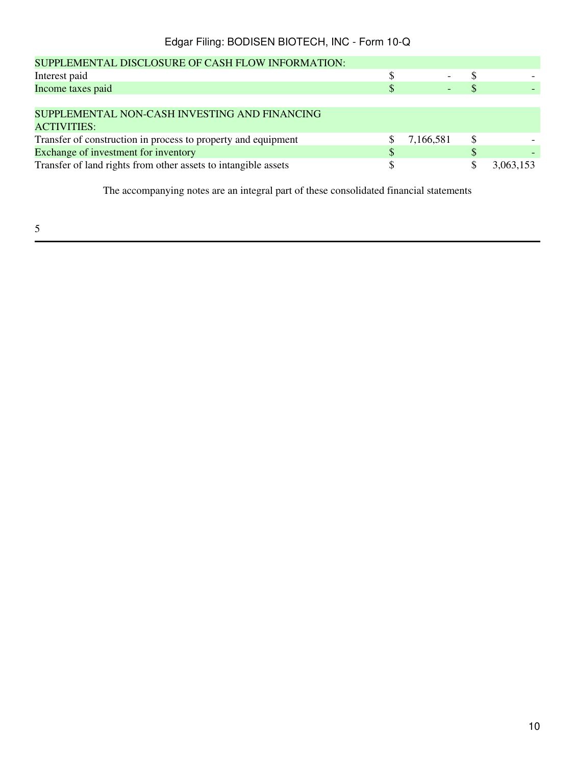| <b>SUPPLEMENTAL DISCLOSURE OF CASH FLOW INFORMATION:</b>       |           |           |
|----------------------------------------------------------------|-----------|-----------|
| Interest paid                                                  |           |           |
| Income taxes paid                                              |           |           |
|                                                                |           |           |
| SUPPLEMENTAL NON-CASH INVESTING AND FINANCING                  |           |           |
| <b>ACTIVITIES:</b>                                             |           |           |
| Transfer of construction in process to property and equipment  | 7,166,581 |           |
| Exchange of investment for inventory                           |           |           |
| Transfer of land rights from other assets to intangible assets |           | 3,063,153 |
|                                                                |           |           |

The accompanying notes are an integral part of these consolidated financial statements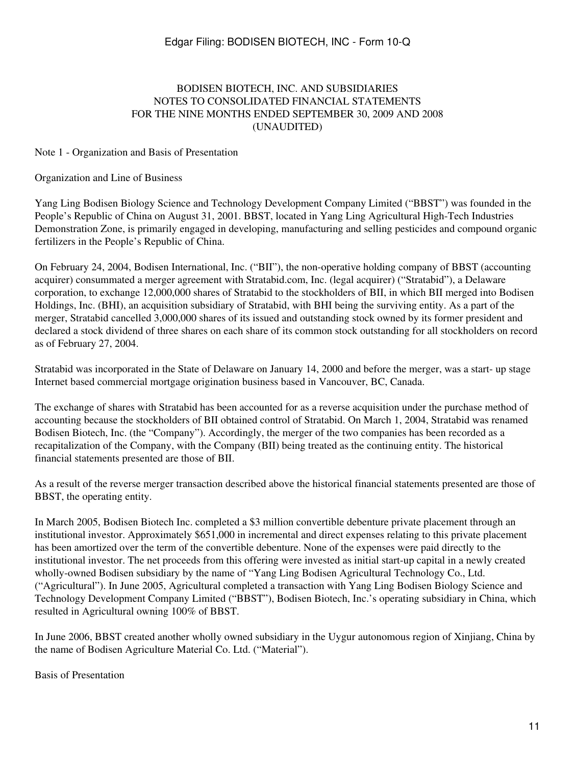### BODISEN BIOTECH, INC. AND SUBSIDIARIES NOTES TO CONSOLIDATED FINANCIAL STATEMENTS FOR THE NINE MONTHS ENDED SEPTEMBER 30, 2009 AND 2008 (UNAUDITED)

#### Note 1 - Organization and Basis of Presentation

#### Organization and Line of Business

Yang Ling Bodisen Biology Science and Technology Development Company Limited ("BBST") was founded in the People's Republic of China on August 31, 2001. BBST, located in Yang Ling Agricultural High-Tech Industries Demonstration Zone, is primarily engaged in developing, manufacturing and selling pesticides and compound organic fertilizers in the People's Republic of China.

On February 24, 2004, Bodisen International, Inc. ("BII"), the non-operative holding company of BBST (accounting acquirer) consummated a merger agreement with Stratabid.com, Inc. (legal acquirer) ("Stratabid"), a Delaware corporation, to exchange 12,000,000 shares of Stratabid to the stockholders of BII, in which BII merged into Bodisen Holdings, Inc. (BHI), an acquisition subsidiary of Stratabid, with BHI being the surviving entity. As a part of the merger, Stratabid cancelled 3,000,000 shares of its issued and outstanding stock owned by its former president and declared a stock dividend of three shares on each share of its common stock outstanding for all stockholders on record as of February 27, 2004.

Stratabid was incorporated in the State of Delaware on January 14, 2000 and before the merger, was a start- up stage Internet based commercial mortgage origination business based in Vancouver, BC, Canada.

The exchange of shares with Stratabid has been accounted for as a reverse acquisition under the purchase method of accounting because the stockholders of BII obtained control of Stratabid. On March 1, 2004, Stratabid was renamed Bodisen Biotech, Inc. (the "Company"). Accordingly, the merger of the two companies has been recorded as a recapitalization of the Company, with the Company (BII) being treated as the continuing entity. The historical financial statements presented are those of BII.

As a result of the reverse merger transaction described above the historical financial statements presented are those of BBST, the operating entity.

In March 2005, Bodisen Biotech Inc. completed a \$3 million convertible debenture private placement through an institutional investor. Approximately \$651,000 in incremental and direct expenses relating to this private placement has been amortized over the term of the convertible debenture. None of the expenses were paid directly to the institutional investor. The net proceeds from this offering were invested as initial start-up capital in a newly created wholly-owned Bodisen subsidiary by the name of "Yang Ling Bodisen Agricultural Technology Co., Ltd. ("Agricultural"). In June 2005, Agricultural completed a transaction with Yang Ling Bodisen Biology Science and Technology Development Company Limited ("BBST"), Bodisen Biotech, Inc.'s operating subsidiary in China, which resulted in Agricultural owning 100% of BBST.

In June 2006, BBST created another wholly owned subsidiary in the Uygur autonomous region of Xinjiang, China by the name of Bodisen Agriculture Material Co. Ltd. ("Material").

Basis of Presentation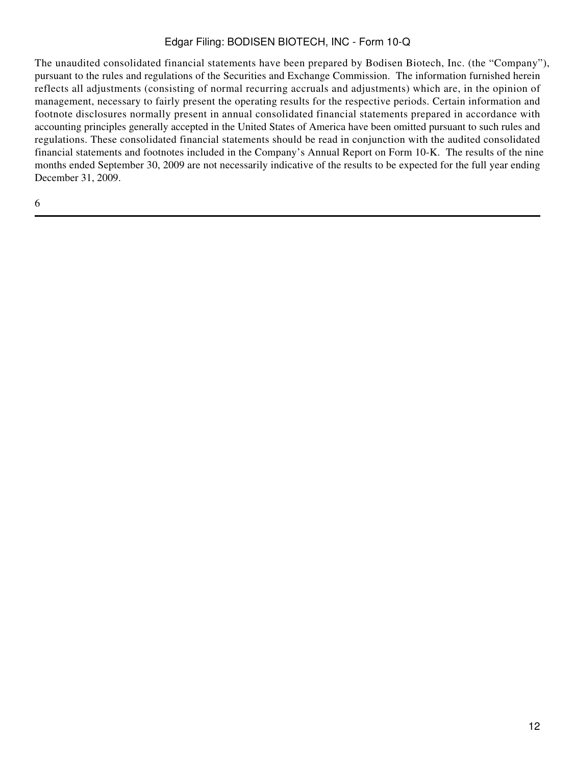The unaudited consolidated financial statements have been prepared by Bodisen Biotech, Inc. (the "Company"), pursuant to the rules and regulations of the Securities and Exchange Commission. The information furnished herein reflects all adjustments (consisting of normal recurring accruals and adjustments) which are, in the opinion of management, necessary to fairly present the operating results for the respective periods. Certain information and footnote disclosures normally present in annual consolidated financial statements prepared in accordance with accounting principles generally accepted in the United States of America have been omitted pursuant to such rules and regulations. These consolidated financial statements should be read in conjunction with the audited consolidated financial statements and footnotes included in the Company's Annual Report on Form 10-K. The results of the nine months ended September 30, 2009 are not necessarily indicative of the results to be expected for the full year ending December 31, 2009.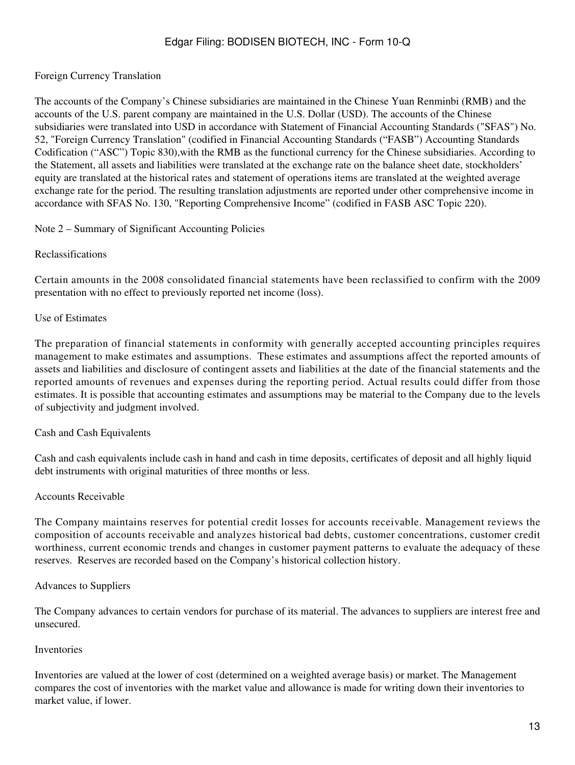### Foreign Currency Translation

The accounts of the Company's Chinese subsidiaries are maintained in the Chinese Yuan Renminbi (RMB) and the accounts of the U.S. parent company are maintained in the U.S. Dollar (USD). The accounts of the Chinese subsidiaries were translated into USD in accordance with Statement of Financial Accounting Standards ("SFAS") No. 52, "Foreign Currency Translation" (codified in Financial Accounting Standards ("FASB") Accounting Standards Codification ("ASC") Topic 830),with the RMB as the functional currency for the Chinese subsidiaries. According to the Statement, all assets and liabilities were translated at the exchange rate on the balance sheet date, stockholders' equity are translated at the historical rates and statement of operations items are translated at the weighted average exchange rate for the period. The resulting translation adjustments are reported under other comprehensive income in accordance with SFAS No. 130, "Reporting Comprehensive Income" (codified in FASB ASC Topic 220).

#### Note 2 – Summary of Significant Accounting Policies

#### Reclassifications

Certain amounts in the 2008 consolidated financial statements have been reclassified to confirm with the 2009 presentation with no effect to previously reported net income (loss).

#### Use of Estimates

The preparation of financial statements in conformity with generally accepted accounting principles requires management to make estimates and assumptions. These estimates and assumptions affect the reported amounts of assets and liabilities and disclosure of contingent assets and liabilities at the date of the financial statements and the reported amounts of revenues and expenses during the reporting period. Actual results could differ from those estimates. It is possible that accounting estimates and assumptions may be material to the Company due to the levels of subjectivity and judgment involved.

#### Cash and Cash Equivalents

Cash and cash equivalents include cash in hand and cash in time deposits, certificates of deposit and all highly liquid debt instruments with original maturities of three months or less.

#### Accounts Receivable

The Company maintains reserves for potential credit losses for accounts receivable. Management reviews the composition of accounts receivable and analyzes historical bad debts, customer concentrations, customer credit worthiness, current economic trends and changes in customer payment patterns to evaluate the adequacy of these reserves. Reserves are recorded based on the Company's historical collection history.

#### Advances to Suppliers

The Company advances to certain vendors for purchase of its material. The advances to suppliers are interest free and unsecured.

#### Inventories

Inventories are valued at the lower of cost (determined on a weighted average basis) or market. The Management compares the cost of inventories with the market value and allowance is made for writing down their inventories to market value, if lower.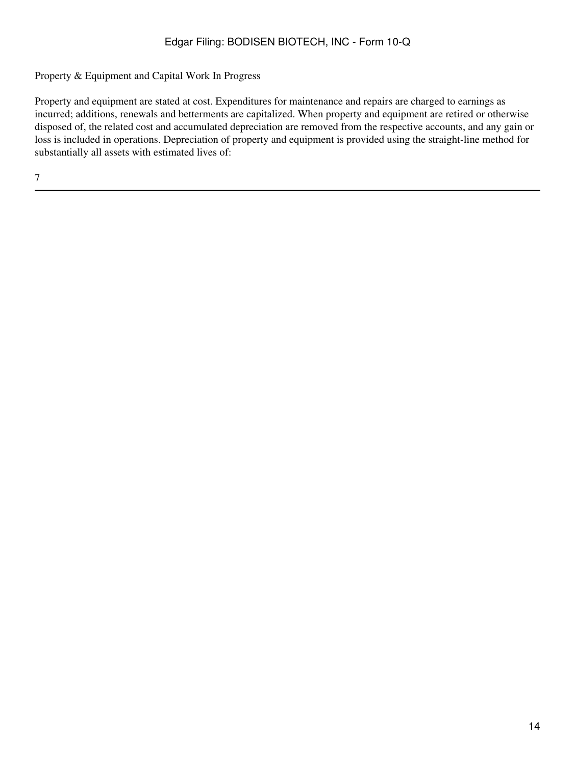### Property & Equipment and Capital Work In Progress

Property and equipment are stated at cost. Expenditures for maintenance and repairs are charged to earnings as incurred; additions, renewals and betterments are capitalized. When property and equipment are retired or otherwise disposed of, the related cost and accumulated depreciation are removed from the respective accounts, and any gain or loss is included in operations. Depreciation of property and equipment is provided using the straight-line method for substantially all assets with estimated lives of: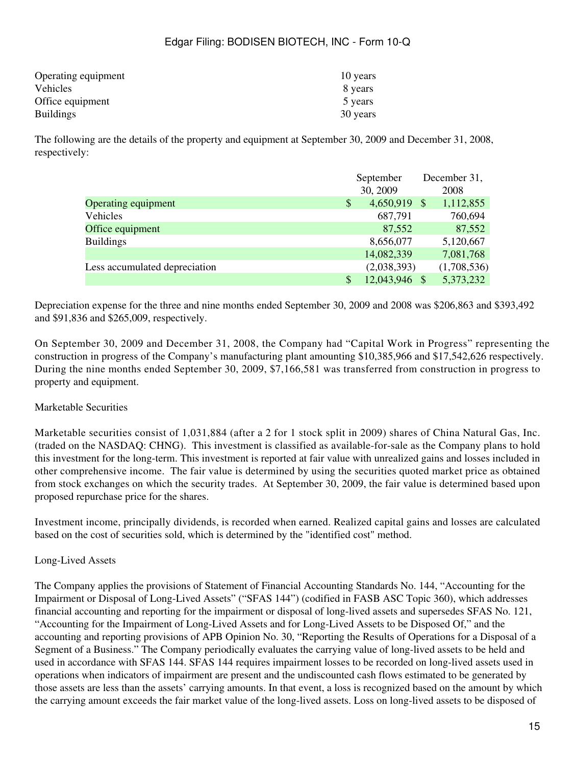| Operating equipment | 10 years |
|---------------------|----------|
| Vehicles            | 8 years  |
| Office equipment    | 5 years  |
| <b>Buildings</b>    | 30 years |

The following are the details of the property and equipment at September 30, 2009 and December 31, 2008, respectively:

|                               | September           |  | December 31, |
|-------------------------------|---------------------|--|--------------|
|                               | 30, 2009            |  | 2008         |
| <b>Operating equipment</b>    | \$<br>4,650,919     |  | 1,112,855    |
| Vehicles                      | 687,791             |  | 760,694      |
| Office equipment              | 87,552              |  | 87,552       |
| <b>Buildings</b>              | 8,656,077           |  | 5,120,667    |
|                               | 14,082,339          |  | 7,081,768    |
| Less accumulated depreciation | (2,038,393)         |  | (1,708,536)  |
|                               | \$<br>12,043,946 \$ |  | 5,373,232    |

Depreciation expense for the three and nine months ended September 30, 2009 and 2008 was \$206,863 and \$393,492 and \$91,836 and \$265,009, respectively.

On September 30, 2009 and December 31, 2008, the Company had "Capital Work in Progress" representing the construction in progress of the Company's manufacturing plant amounting \$10,385,966 and \$17,542,626 respectively. During the nine months ended September 30, 2009, \$7,166,581 was transferred from construction in progress to property and equipment.

### Marketable Securities

Marketable securities consist of 1,031,884 (after a 2 for 1 stock split in 2009) shares of China Natural Gas, Inc. (traded on the NASDAQ: CHNG). This investment is classified as available-for-sale as the Company plans to hold this investment for the long-term. This investment is reported at fair value with unrealized gains and losses included in other comprehensive income. The fair value is determined by using the securities quoted market price as obtained from stock exchanges on which the security trades. At September 30, 2009, the fair value is determined based upon proposed repurchase price for the shares.

Investment income, principally dividends, is recorded when earned. Realized capital gains and losses are calculated based on the cost of securities sold, which is determined by the "identified cost" method.

### Long-Lived Assets

The Company applies the provisions of Statement of Financial Accounting Standards No. 144, "Accounting for the Impairment or Disposal of Long-Lived Assets" ("SFAS 144") (codified in FASB ASC Topic 360), which addresses financial accounting and reporting for the impairment or disposal of long-lived assets and supersedes SFAS No. 121, "Accounting for the Impairment of Long-Lived Assets and for Long-Lived Assets to be Disposed Of," and the accounting and reporting provisions of APB Opinion No. 30, "Reporting the Results of Operations for a Disposal of a Segment of a Business." The Company periodically evaluates the carrying value of long-lived assets to be held and used in accordance with SFAS 144. SFAS 144 requires impairment losses to be recorded on long-lived assets used in operations when indicators of impairment are present and the undiscounted cash flows estimated to be generated by those assets are less than the assets' carrying amounts. In that event, a loss is recognized based on the amount by which the carrying amount exceeds the fair market value of the long-lived assets. Loss on long-lived assets to be disposed of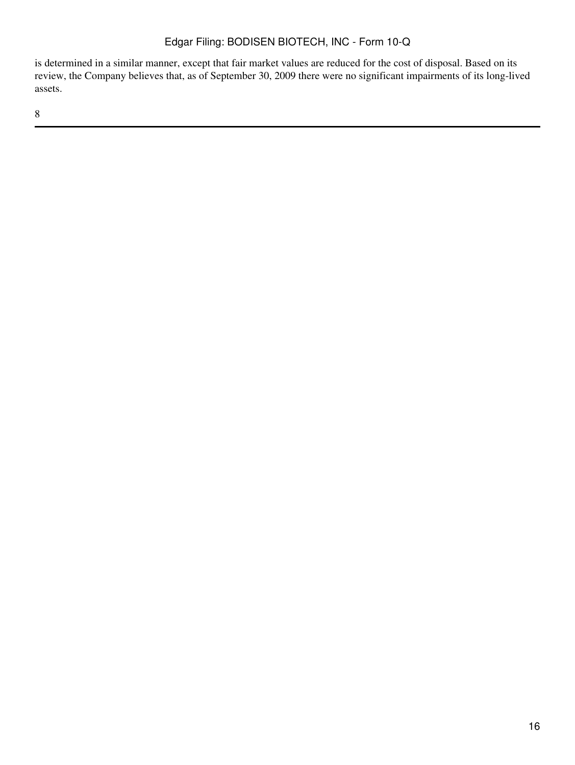is determined in a similar manner, except that fair market values are reduced for the cost of disposal. Based on its review, the Company believes that, as of September 30, 2009 there were no significant impairments of its long-lived assets.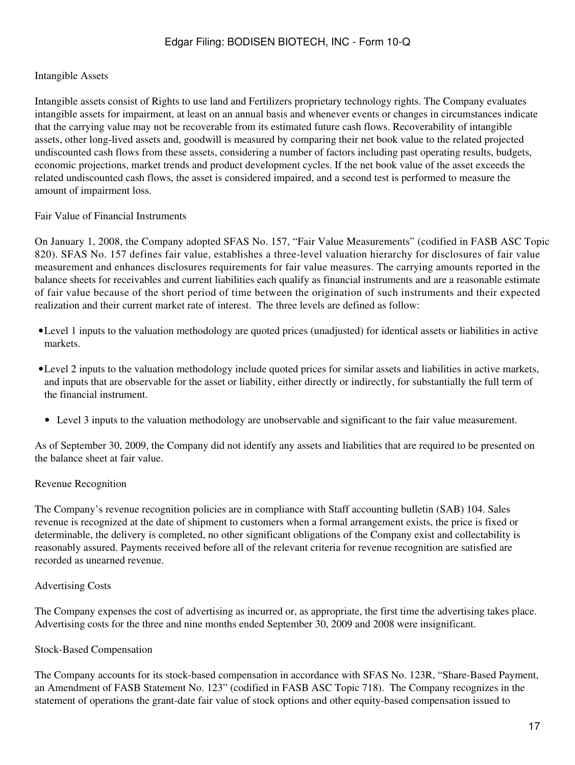#### Intangible Assets

Intangible assets consist of Rights to use land and Fertilizers proprietary technology rights. The Company evaluates intangible assets for impairment, at least on an annual basis and whenever events or changes in circumstances indicate that the carrying value may not be recoverable from its estimated future cash flows. Recoverability of intangible assets, other long-lived assets and, goodwill is measured by comparing their net book value to the related projected undiscounted cash flows from these assets, considering a number of factors including past operating results, budgets, economic projections, market trends and product development cycles. If the net book value of the asset exceeds the related undiscounted cash flows, the asset is considered impaired, and a second test is performed to measure the amount of impairment loss.

#### Fair Value of Financial Instruments

On January 1, 2008, the Company adopted SFAS No. 157, "Fair Value Measurements" (codified in FASB ASC Topic 820). SFAS No. 157 defines fair value, establishes a three-level valuation hierarchy for disclosures of fair value measurement and enhances disclosures requirements for fair value measures. The carrying amounts reported in the balance sheets for receivables and current liabilities each qualify as financial instruments and are a reasonable estimate of fair value because of the short period of time between the origination of such instruments and their expected realization and their current market rate of interest. The three levels are defined as follow:

- •Level 1 inputs to the valuation methodology are quoted prices (unadjusted) for identical assets or liabilities in active markets.
- •Level 2 inputs to the valuation methodology include quoted prices for similar assets and liabilities in active markets, and inputs that are observable for the asset or liability, either directly or indirectly, for substantially the full term of the financial instrument.
- Level 3 inputs to the valuation methodology are unobservable and significant to the fair value measurement.

As of September 30, 2009, the Company did not identify any assets and liabilities that are required to be presented on the balance sheet at fair value.

#### Revenue Recognition

The Company's revenue recognition policies are in compliance with Staff accounting bulletin (SAB) 104. Sales revenue is recognized at the date of shipment to customers when a formal arrangement exists, the price is fixed or determinable, the delivery is completed, no other significant obligations of the Company exist and collectability is reasonably assured. Payments received before all of the relevant criteria for revenue recognition are satisfied are recorded as unearned revenue.

#### Advertising Costs

The Company expenses the cost of advertising as incurred or, as appropriate, the first time the advertising takes place. Advertising costs for the three and nine months ended September 30, 2009 and 2008 were insignificant.

#### Stock-Based Compensation

The Company accounts for its stock-based compensation in accordance with SFAS No. 123R, "Share-Based Payment, an Amendment of FASB Statement No. 123" (codified in FASB ASC Topic 718). The Company recognizes in the statement of operations the grant-date fair value of stock options and other equity-based compensation issued to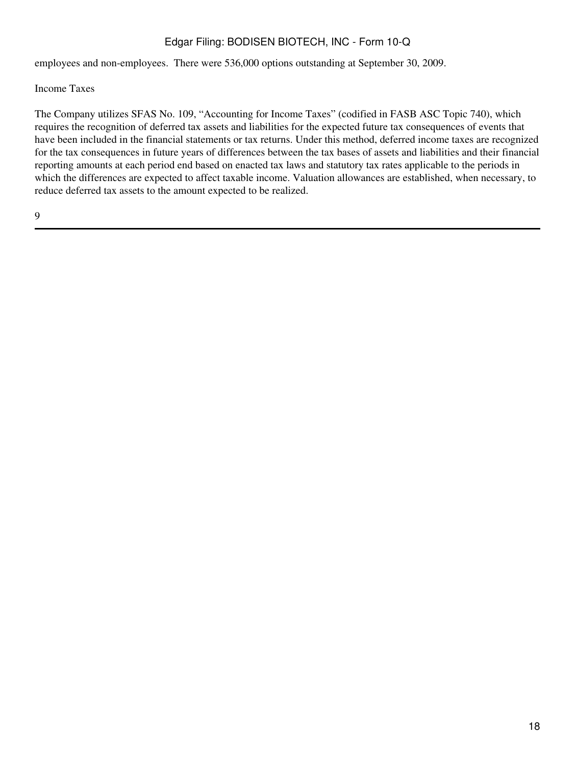employees and non-employees. There were 536,000 options outstanding at September 30, 2009.

Income Taxes

The Company utilizes SFAS No. 109, "Accounting for Income Taxes" (codified in FASB ASC Topic 740), which requires the recognition of deferred tax assets and liabilities for the expected future tax consequences of events that have been included in the financial statements or tax returns. Under this method, deferred income taxes are recognized for the tax consequences in future years of differences between the tax bases of assets and liabilities and their financial reporting amounts at each period end based on enacted tax laws and statutory tax rates applicable to the periods in which the differences are expected to affect taxable income. Valuation allowances are established, when necessary, to reduce deferred tax assets to the amount expected to be realized.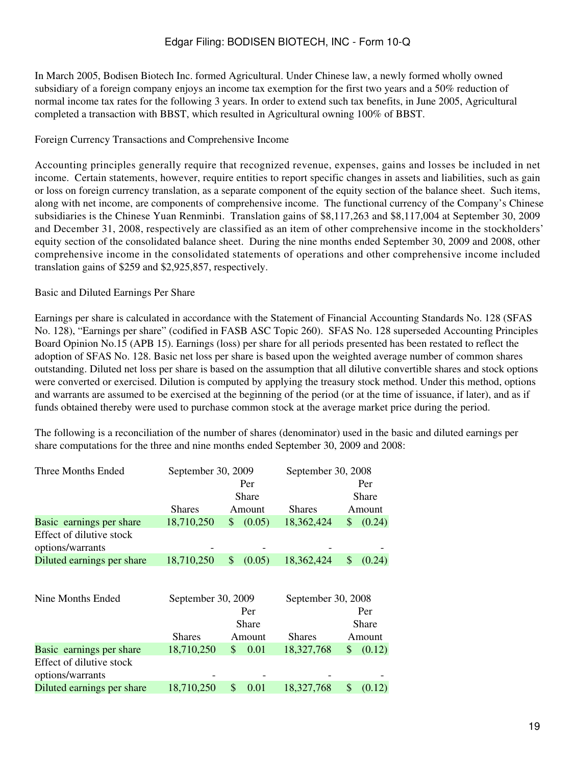In March 2005, Bodisen Biotech Inc. formed Agricultural. Under Chinese law, a newly formed wholly owned subsidiary of a foreign company enjoys an income tax exemption for the first two years and a 50% reduction of normal income tax rates for the following 3 years. In order to extend such tax benefits, in June 2005, Agricultural completed a transaction with BBST, which resulted in Agricultural owning 100% of BBST.

### Foreign Currency Transactions and Comprehensive Income

Accounting principles generally require that recognized revenue, expenses, gains and losses be included in net income. Certain statements, however, require entities to report specific changes in assets and liabilities, such as gain or loss on foreign currency translation, as a separate component of the equity section of the balance sheet. Such items, along with net income, are components of comprehensive income. The functional currency of the Company's Chinese subsidiaries is the Chinese Yuan Renminbi. Translation gains of \$8,117,263 and \$8,117,004 at September 30, 2009 and December 31, 2008, respectively are classified as an item of other comprehensive income in the stockholders' equity section of the consolidated balance sheet. During the nine months ended September 30, 2009 and 2008, other comprehensive income in the consolidated statements of operations and other comprehensive income included translation gains of \$259 and \$2,925,857, respectively.

### Basic and Diluted Earnings Per Share

Earnings per share is calculated in accordance with the Statement of Financial Accounting Standards No. 128 (SFAS No. 128), "Earnings per share" (codified in FASB ASC Topic 260). SFAS No. 128 superseded Accounting Principles Board Opinion No.15 (APB 15). Earnings (loss) per share for all periods presented has been restated to reflect the adoption of SFAS No. 128. Basic net loss per share is based upon the weighted average number of common shares outstanding. Diluted net loss per share is based on the assumption that all dilutive convertible shares and stock options were converted or exercised. Dilution is computed by applying the treasury stock method. Under this method, options and warrants are assumed to be exercised at the beginning of the period (or at the time of issuance, if later), and as if funds obtained thereby were used to purchase common stock at the average market price during the period.

The following is a reconciliation of the number of shares (denominator) used in the basic and diluted earnings per share computations for the three and nine months ended September 30, 2009 and 2008:

| Three Months Ended                           | September 30, 2009 |              | September 30, 2008 |              |  |  |
|----------------------------------------------|--------------------|--------------|--------------------|--------------|--|--|
|                                              |                    | Per          |                    | Per          |  |  |
|                                              |                    | Share        |                    | Share        |  |  |
|                                              | <b>Shares</b>      | Amount       | <b>Shares</b>      | Amount       |  |  |
| Basic earnings per share                     | 18,710,250         | (0.05)<br>\$ | 18,362,424         | (0.24)<br>\$ |  |  |
| Effect of dilutive stock                     |                    |              |                    |              |  |  |
| options/warrants                             |                    |              |                    |              |  |  |
| Diluted earnings per share                   | 18,710,250         | \$<br>(0.05) | 18,362,424         | \$<br>(0.24) |  |  |
|                                              |                    |              |                    |              |  |  |
| Nine Months Ended                            | September 30, 2009 |              | September 30, 2008 |              |  |  |
|                                              |                    | Per          |                    | Per          |  |  |
|                                              |                    | Share        |                    | Share        |  |  |
|                                              | <b>Shares</b>      | Amount       | <b>Shares</b>      | Amount       |  |  |
| Basic earnings per share                     | 18,710,250         | 0.01<br>\$   | 18,327,768         | (0.12)<br>\$ |  |  |
| Effect of dilutive stock<br>options/warrants |                    |              |                    |              |  |  |
| Diluted earnings per share                   | 18,710,250         | \$<br>0.01   | 18,327,768         | \$<br>(0.12) |  |  |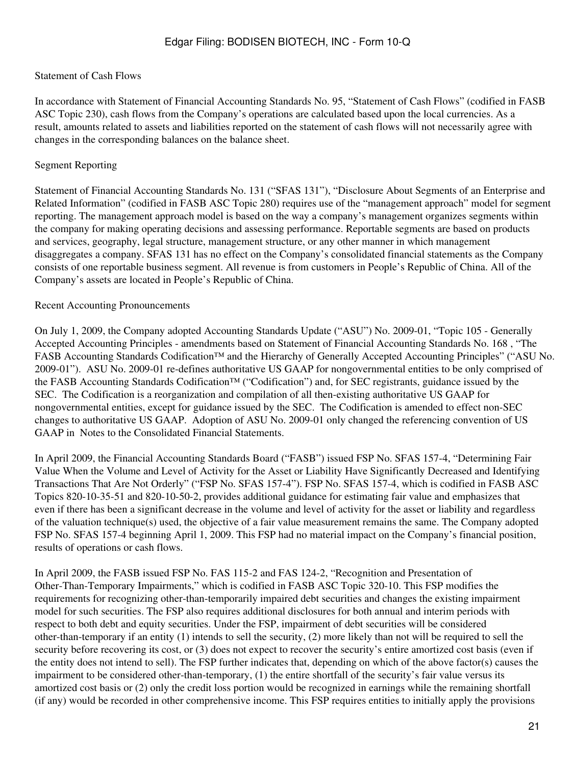#### Statement of Cash Flows

In accordance with Statement of Financial Accounting Standards No. 95, "Statement of Cash Flows" (codified in FASB ASC Topic 230), cash flows from the Company's operations are calculated based upon the local currencies. As a result, amounts related to assets and liabilities reported on the statement of cash flows will not necessarily agree with changes in the corresponding balances on the balance sheet.

### Segment Reporting

Statement of Financial Accounting Standards No. 131 ("SFAS 131"), "Disclosure About Segments of an Enterprise and Related Information" (codified in FASB ASC Topic 280) requires use of the "management approach" model for segment reporting. The management approach model is based on the way a company's management organizes segments within the company for making operating decisions and assessing performance. Reportable segments are based on products and services, geography, legal structure, management structure, or any other manner in which management disaggregates a company. SFAS 131 has no effect on the Company's consolidated financial statements as the Company consists of one reportable business segment. All revenue is from customers in People's Republic of China. All of the Company's assets are located in People's Republic of China.

#### Recent Accounting Pronouncements

On July 1, 2009, the Company adopted Accounting Standards Update ("ASU") No. 2009-01, "Topic 105 - Generally Accepted Accounting Principles - amendments based on Statement of Financial Accounting Standards No. 168 , "The FASB Accounting Standards Codification™ and the Hierarchy of Generally Accepted Accounting Principles" ("ASU No. 2009-01"). ASU No. 2009-01 re-defines authoritative US GAAP for nongovernmental entities to be only comprised of the FASB Accounting Standards Codification™ ("Codification") and, for SEC registrants, guidance issued by the SEC. The Codification is a reorganization and compilation of all then-existing authoritative US GAAP for nongovernmental entities, except for guidance issued by the SEC. The Codification is amended to effect non-SEC changes to authoritative US GAAP. Adoption of ASU No. 2009-01 only changed the referencing convention of US GAAP in Notes to the Consolidated Financial Statements.

In April 2009, the Financial Accounting Standards Board ("FASB") issued FSP No. SFAS 157-4, "Determining Fair Value When the Volume and Level of Activity for the Asset or Liability Have Significantly Decreased and Identifying Transactions That Are Not Orderly" ("FSP No. SFAS 157-4"). FSP No. SFAS 157-4, which is codified in FASB ASC Topics 820-10-35-51 and 820-10-50-2, provides additional guidance for estimating fair value and emphasizes that even if there has been a significant decrease in the volume and level of activity for the asset or liability and regardless of the valuation technique(s) used, the objective of a fair value measurement remains the same. The Company adopted FSP No. SFAS 157-4 beginning April 1, 2009. This FSP had no material impact on the Company's financial position, results of operations or cash flows.

In April 2009, the FASB issued FSP No. FAS 115-2 and FAS 124-2, "Recognition and Presentation of Other-Than-Temporary Impairments," which is codified in FASB ASC Topic 320-10. This FSP modifies the requirements for recognizing other-than-temporarily impaired debt securities and changes the existing impairment model for such securities. The FSP also requires additional disclosures for both annual and interim periods with respect to both debt and equity securities. Under the FSP, impairment of debt securities will be considered other-than-temporary if an entity (1) intends to sell the security, (2) more likely than not will be required to sell the security before recovering its cost, or (3) does not expect to recover the security's entire amortized cost basis (even if the entity does not intend to sell). The FSP further indicates that, depending on which of the above factor(s) causes the impairment to be considered other-than-temporary, (1) the entire shortfall of the security's fair value versus its amortized cost basis or (2) only the credit loss portion would be recognized in earnings while the remaining shortfall (if any) would be recorded in other comprehensive income. This FSP requires entities to initially apply the provisions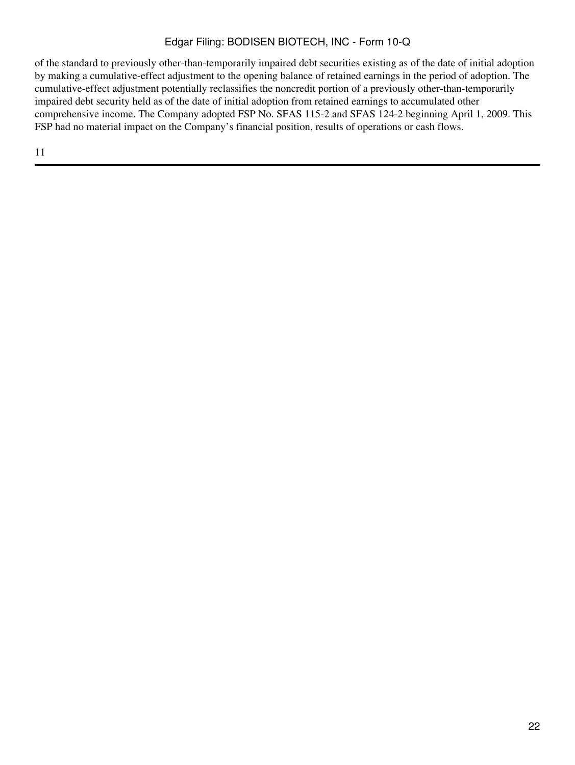of the standard to previously other-than-temporarily impaired debt securities existing as of the date of initial adoption by making a cumulative-effect adjustment to the opening balance of retained earnings in the period of adoption. The cumulative-effect adjustment potentially reclassifies the noncredit portion of a previously other-than-temporarily impaired debt security held as of the date of initial adoption from retained earnings to accumulated other comprehensive income. The Company adopted FSP No. SFAS 115-2 and SFAS 124-2 beginning April 1, 2009. This FSP had no material impact on the Company's financial position, results of operations or cash flows.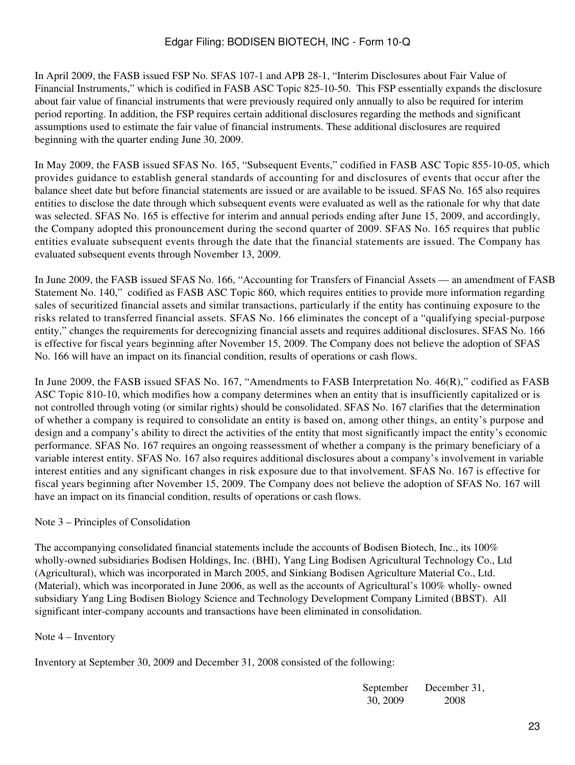In April 2009, the FASB issued FSP No. SFAS 107-1 and APB 28-1, "Interim Disclosures about Fair Value of Financial Instruments," which is codified in FASB ASC Topic 825-10-50. This FSP essentially expands the disclosure about fair value of financial instruments that were previously required only annually to also be required for interim period reporting. In addition, the FSP requires certain additional disclosures regarding the methods and significant assumptions used to estimate the fair value of financial instruments. These additional disclosures are required beginning with the quarter ending June 30, 2009.

In May 2009, the FASB issued SFAS No. 165, "Subsequent Events," codified in FASB ASC Topic 855-10-05, which provides guidance to establish general standards of accounting for and disclosures of events that occur after the balance sheet date but before financial statements are issued or are available to be issued. SFAS No. 165 also requires entities to disclose the date through which subsequent events were evaluated as well as the rationale for why that date was selected. SFAS No. 165 is effective for interim and annual periods ending after June 15, 2009, and accordingly, the Company adopted this pronouncement during the second quarter of 2009. SFAS No. 165 requires that public entities evaluate subsequent events through the date that the financial statements are issued. The Company has evaluated subsequent events through November 13, 2009.

In June 2009, the FASB issued SFAS No. 166, "Accounting for Transfers of Financial Assets — an amendment of FASB Statement No. 140," codified as FASB ASC Topic 860, which requires entities to provide more information regarding sales of securitized financial assets and similar transactions, particularly if the entity has continuing exposure to the risks related to transferred financial assets. SFAS No. 166 eliminates the concept of a "qualifying special-purpose entity," changes the requirements for derecognizing financial assets and requires additional disclosures. SFAS No. 166 is effective for fiscal years beginning after November 15, 2009. The Company does not believe the adoption of SFAS No. 166 will have an impact on its financial condition, results of operations or cash flows.

In June 2009, the FASB issued SFAS No. 167, "Amendments to FASB Interpretation No. 46(R)," codified as FASB ASC Topic 810-10, which modifies how a company determines when an entity that is insufficiently capitalized or is not controlled through voting (or similar rights) should be consolidated. SFAS No. 167 clarifies that the determination of whether a company is required to consolidate an entity is based on, among other things, an entity's purpose and design and a company's ability to direct the activities of the entity that most significantly impact the entity's economic performance. SFAS No. 167 requires an ongoing reassessment of whether a company is the primary beneficiary of a variable interest entity. SFAS No. 167 also requires additional disclosures about a company's involvement in variable interest entities and any significant changes in risk exposure due to that involvement. SFAS No. 167 is effective for fiscal years beginning after November 15, 2009. The Company does not believe the adoption of SFAS No. 167 will have an impact on its financial condition, results of operations or cash flows.

### Note 3 – Principles of Consolidation

The accompanying consolidated financial statements include the accounts of Bodisen Biotech, Inc., its 100% wholly-owned subsidiaries Bodisen Holdings, Inc. (BHI), Yang Ling Bodisen Agricultural Technology Co., Ltd (Agricultural), which was incorporated in March 2005, and Sinkiang Bodisen Agriculture Material Co., Ltd. (Material), which was incorporated in June 2006, as well as the accounts of Agricultural's 100% wholly- owned subsidiary Yang Ling Bodisen Biology Science and Technology Development Company Limited (BBST). All significant inter-company accounts and transactions have been eliminated in consolidation.

### Note 4 – Inventory

Inventory at September 30, 2009 and December 31, 2008 consisted of the following:

September 30, 2009 December 31, 2008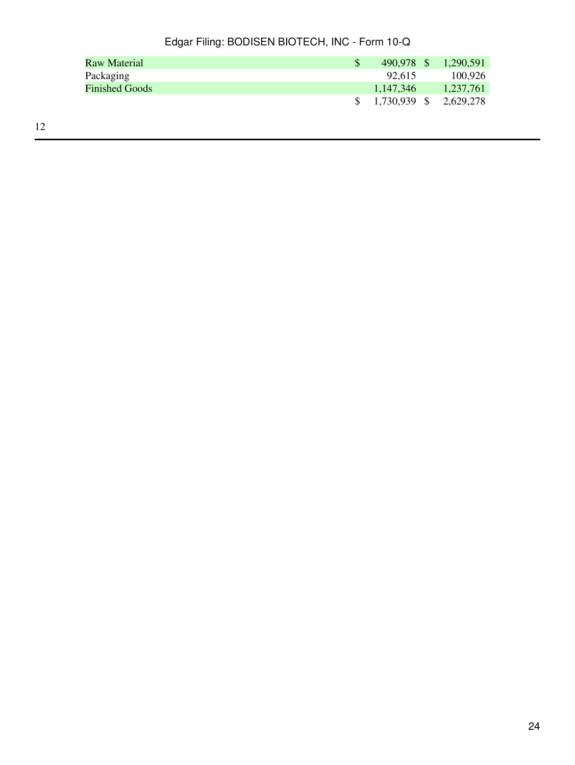| Raw Material          | 490,978 \$ | 1,290,591                 |
|-----------------------|------------|---------------------------|
| Packaging             | 92.615     | 100.926                   |
| <b>Finished Goods</b> | 1.147.346  | 1,237,761                 |
|                       |            | $$1,730,939$ $$2,629,278$ |
|                       |            |                           |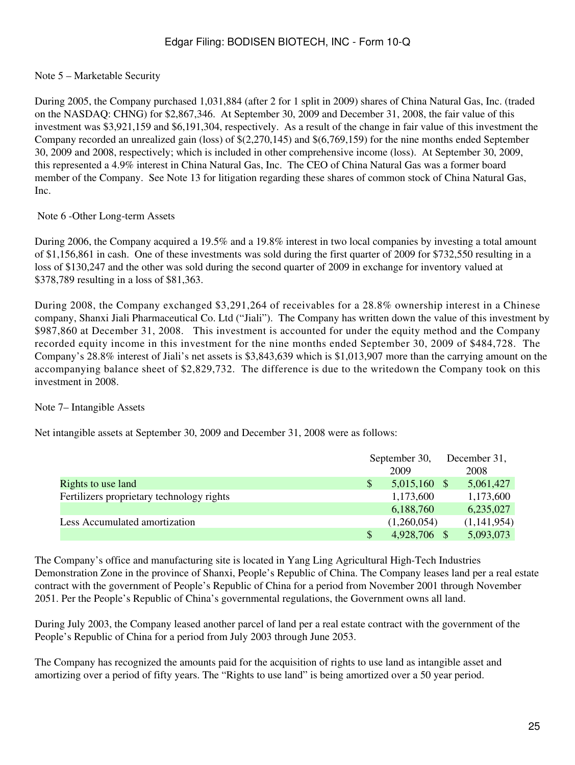#### Note 5 – Marketable Security

During 2005, the Company purchased 1,031,884 (after 2 for 1 split in 2009) shares of China Natural Gas, Inc. (traded on the NASDAQ: CHNG) for \$2,867,346. At September 30, 2009 and December 31, 2008, the fair value of this investment was \$3,921,159 and \$6,191,304, respectively. As a result of the change in fair value of this investment the Company recorded an unrealized gain (loss) of \$(2,270,145) and \$(6,769,159) for the nine months ended September 30, 2009 and 2008, respectively; which is included in other comprehensive income (loss). At September 30, 2009, this represented a 4.9% interest in China Natural Gas, Inc. The CEO of China Natural Gas was a former board member of the Company. See Note 13 for litigation regarding these shares of common stock of China Natural Gas, Inc.

#### Note 6 -Other Long-term Assets

During 2006, the Company acquired a 19.5% and a 19.8% interest in two local companies by investing a total amount of \$1,156,861 in cash. One of these investments was sold during the first quarter of 2009 for \$732,550 resulting in a loss of \$130,247 and the other was sold during the second quarter of 2009 in exchange for inventory valued at \$378,789 resulting in a loss of \$81,363.

During 2008, the Company exchanged \$3,291,264 of receivables for a 28.8% ownership interest in a Chinese company, Shanxi Jiali Pharmaceutical Co. Ltd ("Jiali"). The Company has written down the value of this investment by \$987,860 at December 31, 2008. This investment is accounted for under the equity method and the Company recorded equity income in this investment for the nine months ended September 30, 2009 of \$484,728. The Company's 28.8% interest of Jiali's net assets is \$3,843,639 which is \$1,013,907 more than the carrying amount on the accompanying balance sheet of \$2,829,732. The difference is due to the writedown the Company took on this investment in 2008.

#### Note 7– Intangible Assets

Net intangible assets at September 30, 2009 and December 31, 2008 were as follows:

|                                           |              | September 30,  |  | December 31, |  |
|-------------------------------------------|--------------|----------------|--|--------------|--|
|                                           |              | 2009           |  | 2008         |  |
| Rights to use land                        | <sup>S</sup> | $5,015,160$ \$ |  | 5,061,427    |  |
| Fertilizers proprietary technology rights |              | 1,173,600      |  | 1,173,600    |  |
|                                           |              | 6,188,760      |  | 6,235,027    |  |
| Less Accumulated amortization             |              | (1,260,054)    |  | (1,141,954)  |  |
|                                           |              | 4,928,706 \$   |  | 5,093,073    |  |

The Company's office and manufacturing site is located in Yang Ling Agricultural High-Tech Industries Demonstration Zone in the province of Shanxi, People's Republic of China. The Company leases land per a real estate contract with the government of People's Republic of China for a period from November 2001 through November 2051. Per the People's Republic of China's governmental regulations, the Government owns all land.

During July 2003, the Company leased another parcel of land per a real estate contract with the government of the People's Republic of China for a period from July 2003 through June 2053.

The Company has recognized the amounts paid for the acquisition of rights to use land as intangible asset and amortizing over a period of fifty years. The "Rights to use land" is being amortized over a 50 year period.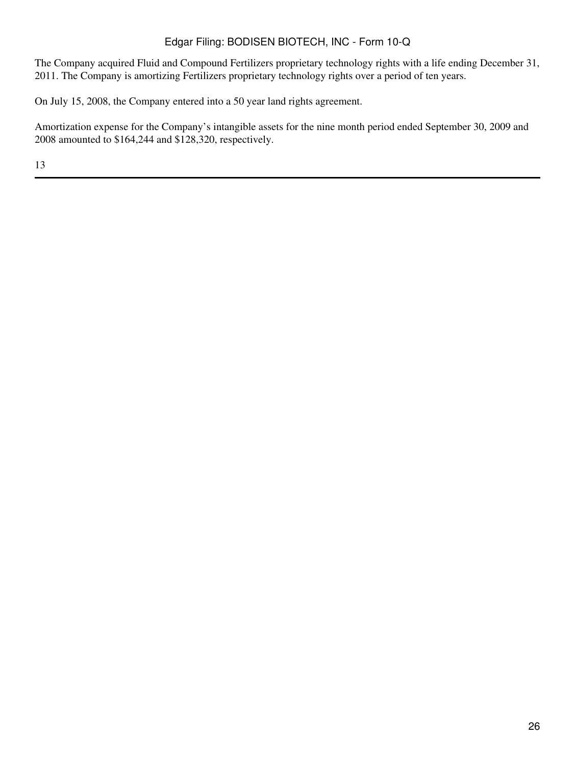The Company acquired Fluid and Compound Fertilizers proprietary technology rights with a life ending December 31, 2011. The Company is amortizing Fertilizers proprietary technology rights over a period of ten years.

On July 15, 2008, the Company entered into a 50 year land rights agreement.

Amortization expense for the Company's intangible assets for the nine month period ended September 30, 2009 and 2008 amounted to \$164,244 and \$128,320, respectively.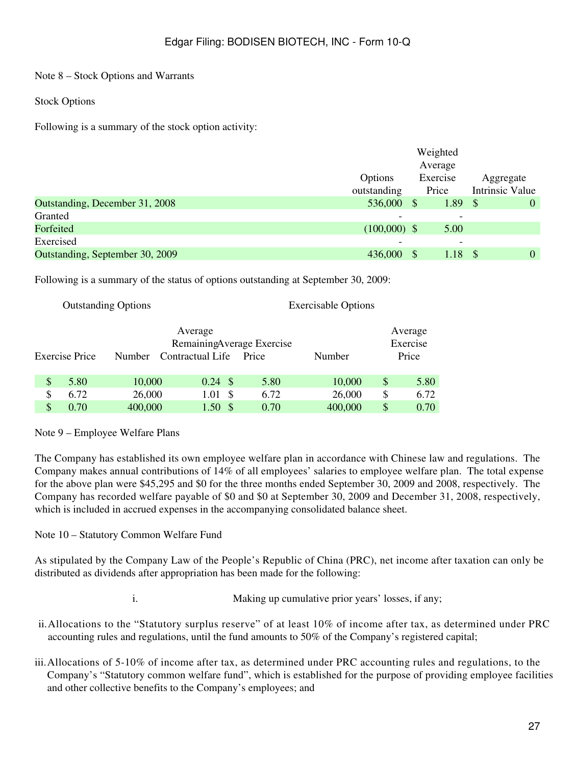Note 8 – Stock Options and Warrants

Stock Options

Following is a summary of the stock option activity:

|                                 |                |               | Weighted                 |                 |          |
|---------------------------------|----------------|---------------|--------------------------|-----------------|----------|
|                                 |                |               | Average                  |                 |          |
|                                 | Options        |               | Exercise                 | Aggregate       |          |
|                                 | outstanding    |               | Price                    | Intrinsic Value |          |
| Outstanding, December 31, 2008  | 536,000        | <sup>\$</sup> | 1.89                     | <sup>S</sup>    | $\theta$ |
| Granted                         |                |               |                          |                 |          |
| Forfeited                       | $(100,000)$ \$ |               | 5.00                     |                 |          |
| Exercised                       |                |               | $\overline{\phantom{0}}$ |                 |          |
| Outstanding, September 30, 2009 | 436,000        | S             | 1.18                     | $\mathbf{s}$    | $\theta$ |

Following is a summary of the status of options outstanding at September 30, 2009:

Outstanding Options Exercisable Options

| Average<br>RemainingAverage Exercise<br><b>Exercise Price</b><br>Contractual Life<br>Number<br>Price |      |         |                    | Number |         | Average<br>Exercise<br>Price |      |
|------------------------------------------------------------------------------------------------------|------|---------|--------------------|--------|---------|------------------------------|------|
| \$                                                                                                   | 5.80 | 10,000  | $0.24 \text{ }$ \$ | 5.80   | 10,000  | S                            | 5.80 |
| \$                                                                                                   | 6.72 | 26,000  | 1.01<br>-S         | 6.72   | 26,000  | S                            | 6.72 |
|                                                                                                      | 0.70 | 400,000 | 1.50 <sup>5</sup>  | 0.70   | 400,000 | \$                           | 0.70 |

Note 9 – Employee Welfare Plans

The Company has established its own employee welfare plan in accordance with Chinese law and regulations. The Company makes annual contributions of 14% of all employees' salaries to employee welfare plan. The total expense for the above plan were \$45,295 and \$0 for the three months ended September 30, 2009 and 2008, respectively. The Company has recorded welfare payable of \$0 and \$0 at September 30, 2009 and December 31, 2008, respectively, which is included in accrued expenses in the accompanying consolidated balance sheet.

Note 10 – Statutory Common Welfare Fund

As stipulated by the Company Law of the People's Republic of China (PRC), net income after taxation can only be distributed as dividends after appropriation has been made for the following:

- 
- i. Making up cumulative prior years' losses, if any;
- ii.Allocations to the "Statutory surplus reserve" of at least 10% of income after tax, as determined under PRC accounting rules and regulations, until the fund amounts to 50% of the Company's registered capital;
- iii.Allocations of 5-10% of income after tax, as determined under PRC accounting rules and regulations, to the Company's "Statutory common welfare fund", which is established for the purpose of providing employee facilities and other collective benefits to the Company's employees; and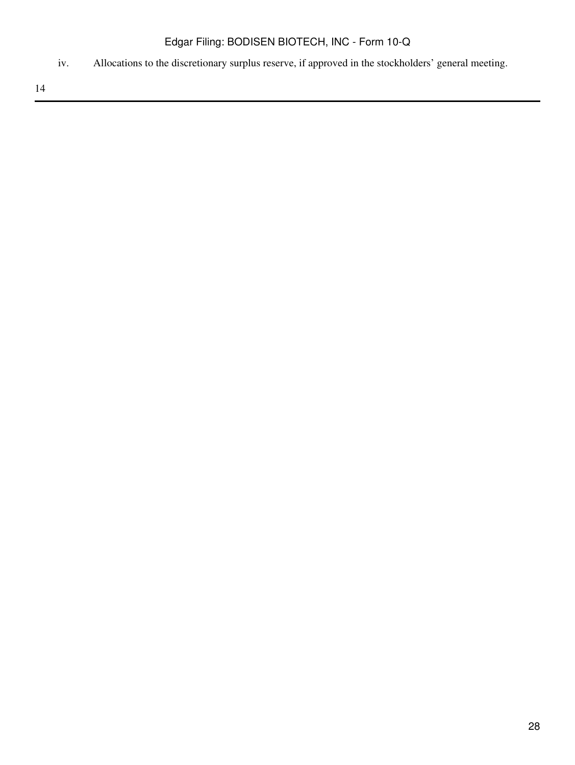iv. Allocations to the discretionary surplus reserve, if approved in the stockholders' general meeting.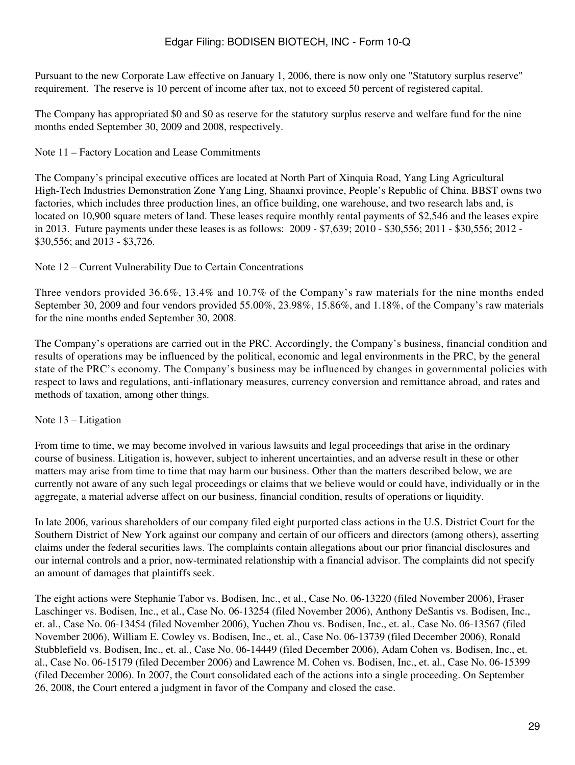Pursuant to the new Corporate Law effective on January 1, 2006, there is now only one "Statutory surplus reserve" requirement. The reserve is 10 percent of income after tax, not to exceed 50 percent of registered capital.

The Company has appropriated \$0 and \$0 as reserve for the statutory surplus reserve and welfare fund for the nine months ended September 30, 2009 and 2008, respectively.

Note 11 – Factory Location and Lease Commitments

The Company's principal executive offices are located at North Part of Xinquia Road, Yang Ling Agricultural High-Tech Industries Demonstration Zone Yang Ling, Shaanxi province, People's Republic of China. BBST owns two factories, which includes three production lines, an office building, one warehouse, and two research labs and, is located on 10,900 square meters of land. These leases require monthly rental payments of \$2,546 and the leases expire in 2013. Future payments under these leases is as follows: 2009 - \$7,639; 2010 - \$30,556; 2011 - \$30,556; 2012 - \$30,556; and 2013 - \$3,726.

Note 12 – Current Vulnerability Due to Certain Concentrations

Three vendors provided 36.6%, 13.4% and 10.7% of the Company's raw materials for the nine months ended September 30, 2009 and four vendors provided 55.00%, 23.98%, 15.86%, and 1.18%, of the Company's raw materials for the nine months ended September 30, 2008.

The Company's operations are carried out in the PRC. Accordingly, the Company's business, financial condition and results of operations may be influenced by the political, economic and legal environments in the PRC, by the general state of the PRC's economy. The Company's business may be influenced by changes in governmental policies with respect to laws and regulations, anti-inflationary measures, currency conversion and remittance abroad, and rates and methods of taxation, among other things.

Note 13 – Litigation

From time to time, we may become involved in various lawsuits and legal proceedings that arise in the ordinary course of business. Litigation is, however, subject to inherent uncertainties, and an adverse result in these or other matters may arise from time to time that may harm our business. Other than the matters described below, we are currently not aware of any such legal proceedings or claims that we believe would or could have, individually or in the aggregate, a material adverse affect on our business, financial condition, results of operations or liquidity.

In late 2006, various shareholders of our company filed eight purported class actions in the U.S. District Court for the Southern District of New York against our company and certain of our officers and directors (among others), asserting claims under the federal securities laws. The complaints contain allegations about our prior financial disclosures and our internal controls and a prior, now-terminated relationship with a financial advisor. The complaints did not specify an amount of damages that plaintiffs seek.

The eight actions were Stephanie Tabor vs. Bodisen, Inc., et al., Case No. 06-13220 (filed November 2006), Fraser Laschinger vs. Bodisen, Inc., et al., Case No. 06-13254 (filed November 2006), Anthony DeSantis vs. Bodisen, Inc., et. al., Case No. 06-13454 (filed November 2006), Yuchen Zhou vs. Bodisen, Inc., et. al., Case No. 06-13567 (filed November 2006), William E. Cowley vs. Bodisen, Inc., et. al., Case No. 06-13739 (filed December 2006), Ronald Stubblefield vs. Bodisen, Inc., et. al., Case No. 06-14449 (filed December 2006), Adam Cohen vs. Bodisen, Inc., et. al., Case No. 06-15179 (filed December 2006) and Lawrence M. Cohen vs. Bodisen, Inc., et. al., Case No. 06-15399 (filed December 2006). In 2007, the Court consolidated each of the actions into a single proceeding. On September 26, 2008, the Court entered a judgment in favor of the Company and closed the case.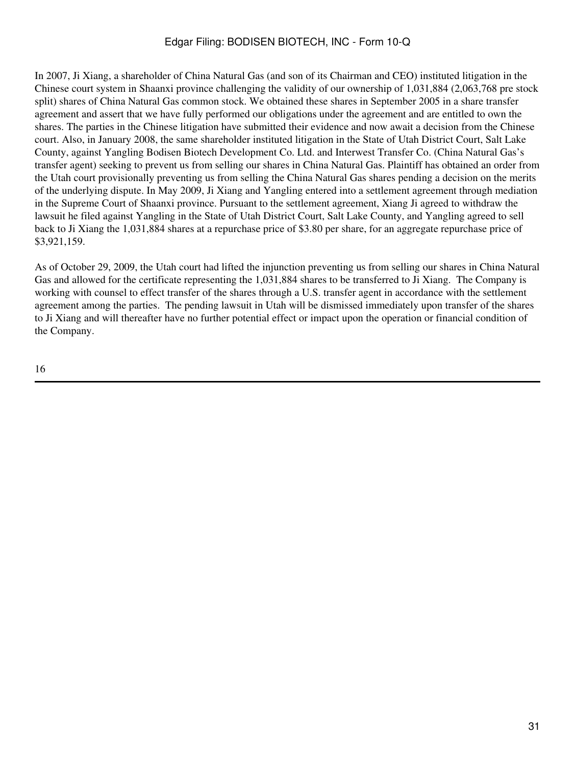In 2007, Ji Xiang, a shareholder of China Natural Gas (and son of its Chairman and CEO) instituted litigation in the Chinese court system in Shaanxi province challenging the validity of our ownership of 1,031,884 (2,063,768 pre stock split) shares of China Natural Gas common stock. We obtained these shares in September 2005 in a share transfer agreement and assert that we have fully performed our obligations under the agreement and are entitled to own the shares. The parties in the Chinese litigation have submitted their evidence and now await a decision from the Chinese court. Also, in January 2008, the same shareholder instituted litigation in the State of Utah District Court, Salt Lake County, against Yangling Bodisen Biotech Development Co. Ltd. and Interwest Transfer Co. (China Natural Gas's transfer agent) seeking to prevent us from selling our shares in China Natural Gas. Plaintiff has obtained an order from the Utah court provisionally preventing us from selling the China Natural Gas shares pending a decision on the merits of the underlying dispute. In May 2009, Ji Xiang and Yangling entered into a settlement agreement through mediation in the Supreme Court of Shaanxi province. Pursuant to the settlement agreement, Xiang Ji agreed to withdraw the lawsuit he filed against Yangling in the State of Utah District Court, Salt Lake County, and Yangling agreed to sell back to Ji Xiang the 1,031,884 shares at a repurchase price of \$3.80 per share, for an aggregate repurchase price of \$3,921,159.

As of October 29, 2009, the Utah court had lifted the injunction preventing us from selling our shares in China Natural Gas and allowed for the certificate representing the 1,031,884 shares to be transferred to Ji Xiang. The Company is working with counsel to effect transfer of the shares through a U.S. transfer agent in accordance with the settlement agreement among the parties. The pending lawsuit in Utah will be dismissed immediately upon transfer of the shares to Ji Xiang and will thereafter have no further potential effect or impact upon the operation or financial condition of the Company.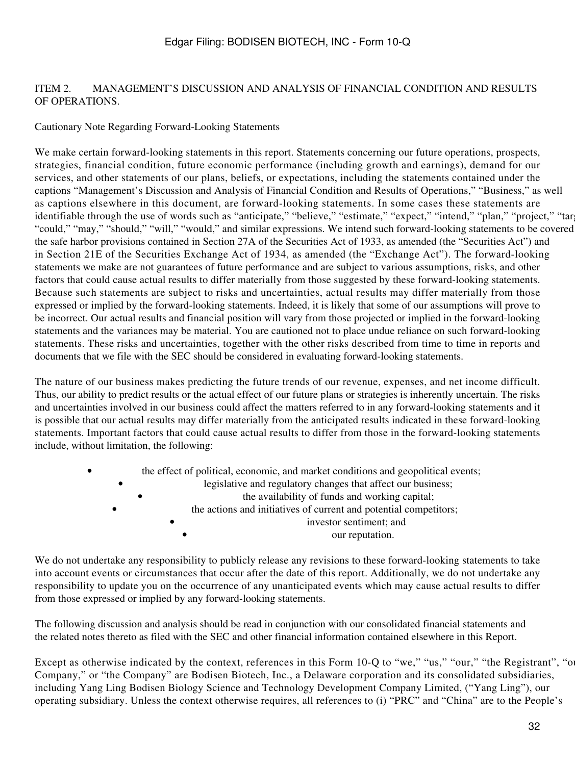### ITEM 2. MANAGEMENT'S DISCUSSION AND ANALYSIS OF FINANCIAL CONDITION AND RESULTS OF OPERATIONS.

### Cautionary Note Regarding Forward-Looking Statements

We make certain forward-looking statements in this report. Statements concerning our future operations, prospects, strategies, financial condition, future economic performance (including growth and earnings), demand for our services, and other statements of our plans, beliefs, or expectations, including the statements contained under the captions "Management's Discussion and Analysis of Financial Condition and Results of Operations," "Business," as well as captions elsewhere in this document, are forward-looking statements. In some cases these statements are identifiable through the use of words such as "anticipate," "believe," "estimate," "expect," "intend," "plan," "project," "tar "could," "may," "should," "will," "would," and similar expressions. We intend such forward-looking statements to be covered the safe harbor provisions contained in Section 27A of the Securities Act of 1933, as amended (the "Securities Act") and in Section 21E of the Securities Exchange Act of 1934, as amended (the "Exchange Act"). The forward-looking statements we make are not guarantees of future performance and are subject to various assumptions, risks, and other factors that could cause actual results to differ materially from those suggested by these forward-looking statements. Because such statements are subject to risks and uncertainties, actual results may differ materially from those expressed or implied by the forward-looking statements. Indeed, it is likely that some of our assumptions will prove to be incorrect. Our actual results and financial position will vary from those projected or implied in the forward-looking statements and the variances may be material. You are cautioned not to place undue reliance on such forward-looking statements. These risks and uncertainties, together with the other risks described from time to time in reports and documents that we file with the SEC should be considered in evaluating forward-looking statements.

The nature of our business makes predicting the future trends of our revenue, expenses, and net income difficult. Thus, our ability to predict results or the actual effect of our future plans or strategies is inherently uncertain. The risks and uncertainties involved in our business could affect the matters referred to in any forward-looking statements and it is possible that our actual results may differ materially from the anticipated results indicated in these forward-looking statements. Important factors that could cause actual results to differ from those in the forward-looking statements include, without limitation, the following:

| $\bullet$ |           | the effect of political, economic, and market conditions and geopolitical events; |
|-----------|-----------|-----------------------------------------------------------------------------------|
|           |           | legislative and regulatory changes that affect our business;                      |
|           |           | the availability of funds and working capital;                                    |
|           | $\bullet$ | the actions and initiatives of current and potential competitors;                 |
|           |           | investor sentiment; and                                                           |
|           |           | our reputation.                                                                   |

We do not undertake any responsibility to publicly release any revisions to these forward-looking statements to take into account events or circumstances that occur after the date of this report. Additionally, we do not undertake any responsibility to update you on the occurrence of any unanticipated events which may cause actual results to differ from those expressed or implied by any forward-looking statements.

The following discussion and analysis should be read in conjunction with our consolidated financial statements and the related notes thereto as filed with the SEC and other financial information contained elsewhere in this Report.

Except as otherwise indicated by the context, references in this Form 10-Q to "we," "us," "our," "the Registrant", "our Company," or "the Company" are Bodisen Biotech, Inc., a Delaware corporation and its consolidated subsidiaries, including Yang Ling Bodisen Biology Science and Technology Development Company Limited, ("Yang Ling"), our operating subsidiary. Unless the context otherwise requires, all references to (i) "PRC" and "China" are to the People's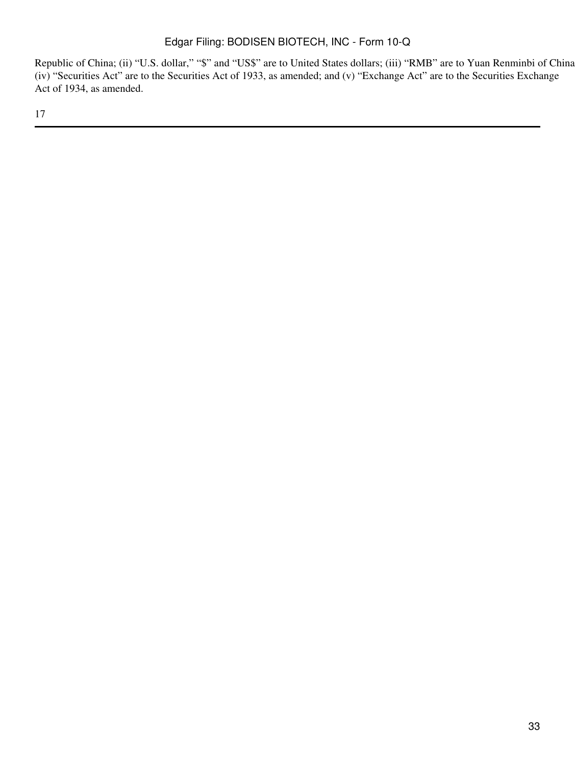Republic of China; (ii) "U.S. dollar," "\$" and "US\$" are to United States dollars; (iii) "RMB" are to Yuan Renminbi of China; (iv) "Securities Act" are to the Securities Act of 1933, as amended; and (v) "Exchange Act" are to the Securities Exchange Act of 1934, as amended.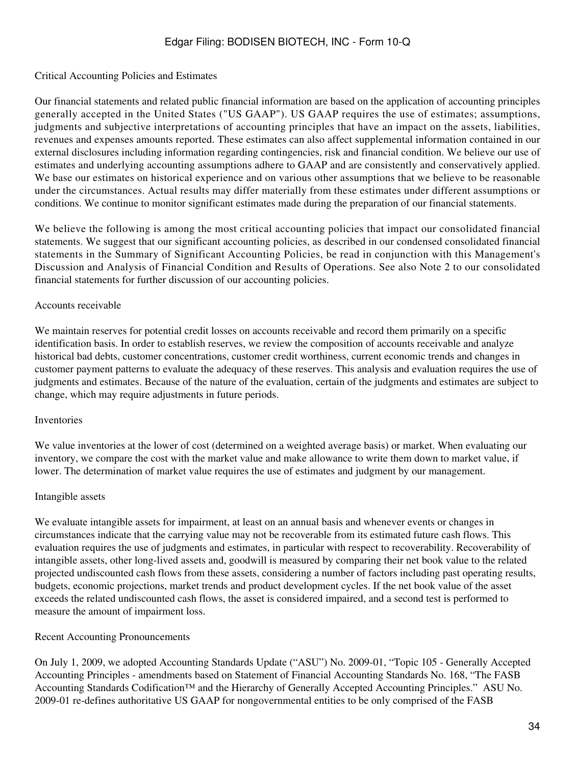#### Critical Accounting Policies and Estimates

Our financial statements and related public financial information are based on the application of accounting principles generally accepted in the United States ("US GAAP"). US GAAP requires the use of estimates; assumptions, judgments and subjective interpretations of accounting principles that have an impact on the assets, liabilities, revenues and expenses amounts reported. These estimates can also affect supplemental information contained in our external disclosures including information regarding contingencies, risk and financial condition. We believe our use of estimates and underlying accounting assumptions adhere to GAAP and are consistently and conservatively applied. We base our estimates on historical experience and on various other assumptions that we believe to be reasonable under the circumstances. Actual results may differ materially from these estimates under different assumptions or conditions. We continue to monitor significant estimates made during the preparation of our financial statements.

We believe the following is among the most critical accounting policies that impact our consolidated financial statements. We suggest that our significant accounting policies, as described in our condensed consolidated financial statements in the Summary of Significant Accounting Policies, be read in conjunction with this Management's Discussion and Analysis of Financial Condition and Results of Operations. See also Note 2 to our consolidated financial statements for further discussion of our accounting policies.

#### Accounts receivable

We maintain reserves for potential credit losses on accounts receivable and record them primarily on a specific identification basis. In order to establish reserves, we review the composition of accounts receivable and analyze historical bad debts, customer concentrations, customer credit worthiness, current economic trends and changes in customer payment patterns to evaluate the adequacy of these reserves. This analysis and evaluation requires the use of judgments and estimates. Because of the nature of the evaluation, certain of the judgments and estimates are subject to change, which may require adjustments in future periods.

#### Inventories

We value inventories at the lower of cost (determined on a weighted average basis) or market. When evaluating our inventory, we compare the cost with the market value and make allowance to write them down to market value, if lower. The determination of market value requires the use of estimates and judgment by our management.

#### Intangible assets

We evaluate intangible assets for impairment, at least on an annual basis and whenever events or changes in circumstances indicate that the carrying value may not be recoverable from its estimated future cash flows. This evaluation requires the use of judgments and estimates, in particular with respect to recoverability. Recoverability of intangible assets, other long-lived assets and, goodwill is measured by comparing their net book value to the related projected undiscounted cash flows from these assets, considering a number of factors including past operating results, budgets, economic projections, market trends and product development cycles. If the net book value of the asset exceeds the related undiscounted cash flows, the asset is considered impaired, and a second test is performed to measure the amount of impairment loss.

### Recent Accounting Pronouncements

On July 1, 2009, we adopted Accounting Standards Update ("ASU") No. 2009-01, "Topic 105 - Generally Accepted Accounting Principles - amendments based on Statement of Financial Accounting Standards No. 168, "The FASB Accounting Standards Codification™ and the Hierarchy of Generally Accepted Accounting Principles." ASU No. 2009-01 re-defines authoritative US GAAP for nongovernmental entities to be only comprised of the FASB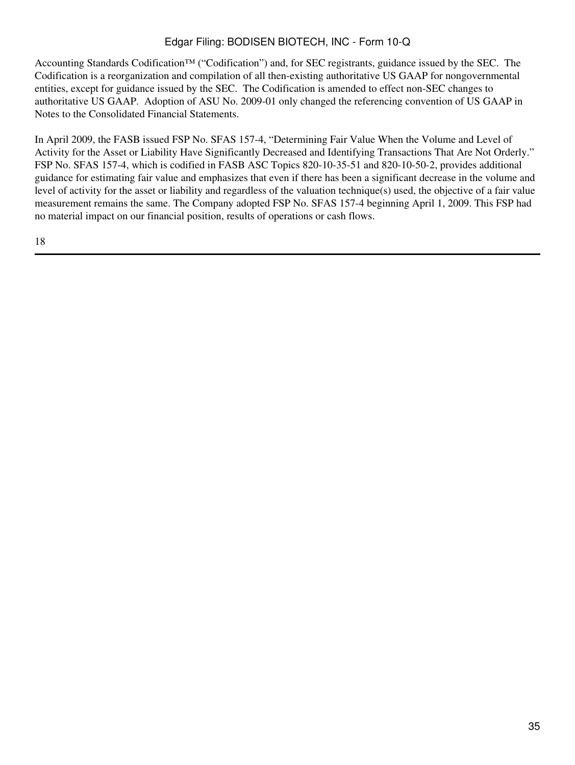Accounting Standards Codification™ ("Codification") and, for SEC registrants, guidance issued by the SEC. The Codification is a reorganization and compilation of all then-existing authoritative US GAAP for nongovernmental entities, except for guidance issued by the SEC. The Codification is amended to effect non-SEC changes to authoritative US GAAP. Adoption of ASU No. 2009-01 only changed the referencing convention of US GAAP in Notes to the Consolidated Financial Statements.

In April 2009, the FASB issued FSP No. SFAS 157-4, "Determining Fair Value When the Volume and Level of Activity for the Asset or Liability Have Significantly Decreased and Identifying Transactions That Are Not Orderly." FSP No. SFAS 157-4, which is codified in FASB ASC Topics 820-10-35-51 and 820-10-50-2, provides additional guidance for estimating fair value and emphasizes that even if there has been a significant decrease in the volume and level of activity for the asset or liability and regardless of the valuation technique(s) used, the objective of a fair value measurement remains the same. The Company adopted FSP No. SFAS 157-4 beginning April 1, 2009. This FSP had no material impact on our financial position, results of operations or cash flows.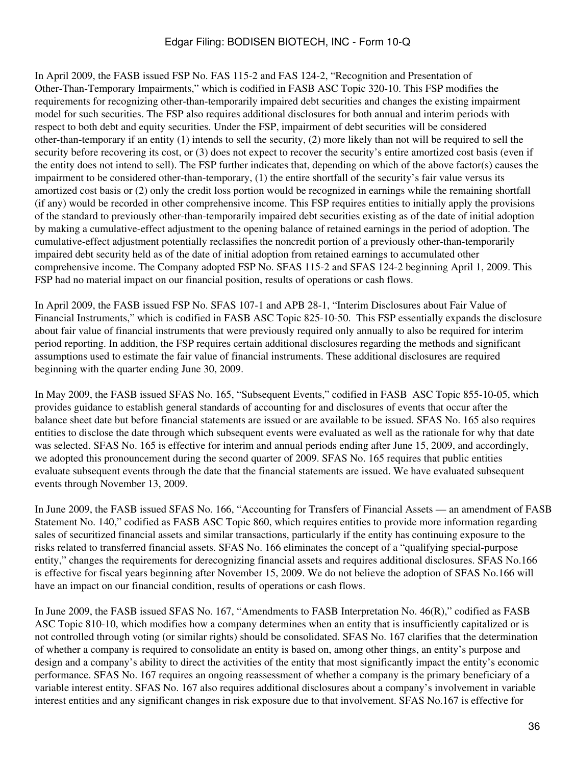In April 2009, the FASB issued FSP No. FAS 115-2 and FAS 124-2, "Recognition and Presentation of Other-Than-Temporary Impairments," which is codified in FASB ASC Topic 320-10. This FSP modifies the requirements for recognizing other-than-temporarily impaired debt securities and changes the existing impairment model for such securities. The FSP also requires additional disclosures for both annual and interim periods with respect to both debt and equity securities. Under the FSP, impairment of debt securities will be considered other-than-temporary if an entity (1) intends to sell the security, (2) more likely than not will be required to sell the security before recovering its cost, or (3) does not expect to recover the security's entire amortized cost basis (even if the entity does not intend to sell). The FSP further indicates that, depending on which of the above factor(s) causes the impairment to be considered other-than-temporary, (1) the entire shortfall of the security's fair value versus its amortized cost basis or (2) only the credit loss portion would be recognized in earnings while the remaining shortfall (if any) would be recorded in other comprehensive income. This FSP requires entities to initially apply the provisions of the standard to previously other-than-temporarily impaired debt securities existing as of the date of initial adoption by making a cumulative-effect adjustment to the opening balance of retained earnings in the period of adoption. The cumulative-effect adjustment potentially reclassifies the noncredit portion of a previously other-than-temporarily impaired debt security held as of the date of initial adoption from retained earnings to accumulated other comprehensive income. The Company adopted FSP No. SFAS 115-2 and SFAS 124-2 beginning April 1, 2009. This FSP had no material impact on our financial position, results of operations or cash flows.

In April 2009, the FASB issued FSP No. SFAS 107-1 and APB 28-1, "Interim Disclosures about Fair Value of Financial Instruments," which is codified in FASB ASC Topic 825-10-50. This FSP essentially expands the disclosure about fair value of financial instruments that were previously required only annually to also be required for interim period reporting. In addition, the FSP requires certain additional disclosures regarding the methods and significant assumptions used to estimate the fair value of financial instruments. These additional disclosures are required beginning with the quarter ending June 30, 2009.

In May 2009, the FASB issued SFAS No. 165, "Subsequent Events," codified in FASB ASC Topic 855-10-05, which provides guidance to establish general standards of accounting for and disclosures of events that occur after the balance sheet date but before financial statements are issued or are available to be issued. SFAS No. 165 also requires entities to disclose the date through which subsequent events were evaluated as well as the rationale for why that date was selected. SFAS No. 165 is effective for interim and annual periods ending after June 15, 2009, and accordingly, we adopted this pronouncement during the second quarter of 2009. SFAS No. 165 requires that public entities evaluate subsequent events through the date that the financial statements are issued. We have evaluated subsequent events through November 13, 2009.

In June 2009, the FASB issued SFAS No. 166, "Accounting for Transfers of Financial Assets — an amendment of FASB Statement No. 140," codified as FASB ASC Topic 860, which requires entities to provide more information regarding sales of securitized financial assets and similar transactions, particularly if the entity has continuing exposure to the risks related to transferred financial assets. SFAS No. 166 eliminates the concept of a "qualifying special-purpose entity," changes the requirements for derecognizing financial assets and requires additional disclosures. SFAS No.166 is effective for fiscal years beginning after November 15, 2009. We do not believe the adoption of SFAS No.166 will have an impact on our financial condition, results of operations or cash flows.

In June 2009, the FASB issued SFAS No. 167, "Amendments to FASB Interpretation No. 46(R)," codified as FASB ASC Topic 810-10, which modifies how a company determines when an entity that is insufficiently capitalized or is not controlled through voting (or similar rights) should be consolidated. SFAS No. 167 clarifies that the determination of whether a company is required to consolidate an entity is based on, among other things, an entity's purpose and design and a company's ability to direct the activities of the entity that most significantly impact the entity's economic performance. SFAS No. 167 requires an ongoing reassessment of whether a company is the primary beneficiary of a variable interest entity. SFAS No. 167 also requires additional disclosures about a company's involvement in variable interest entities and any significant changes in risk exposure due to that involvement. SFAS No.167 is effective for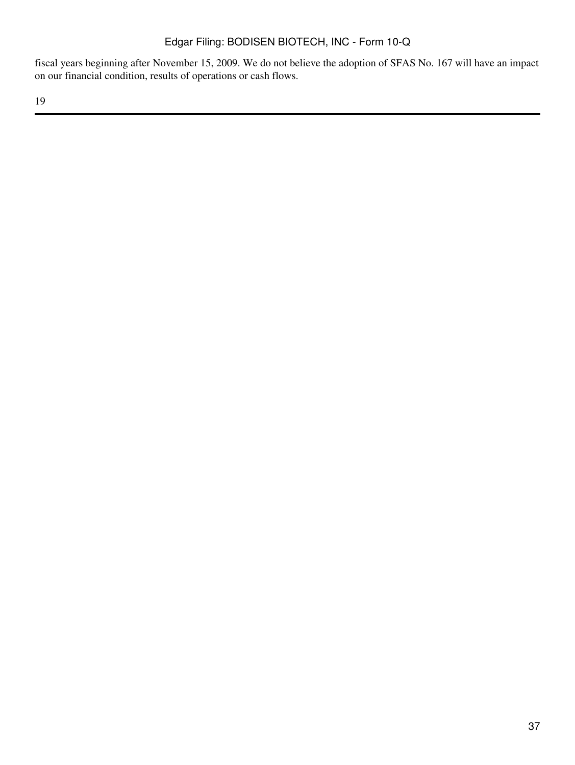fiscal years beginning after November 15, 2009. We do not believe the adoption of SFAS No. 167 will have an impact on our financial condition, results of operations or cash flows.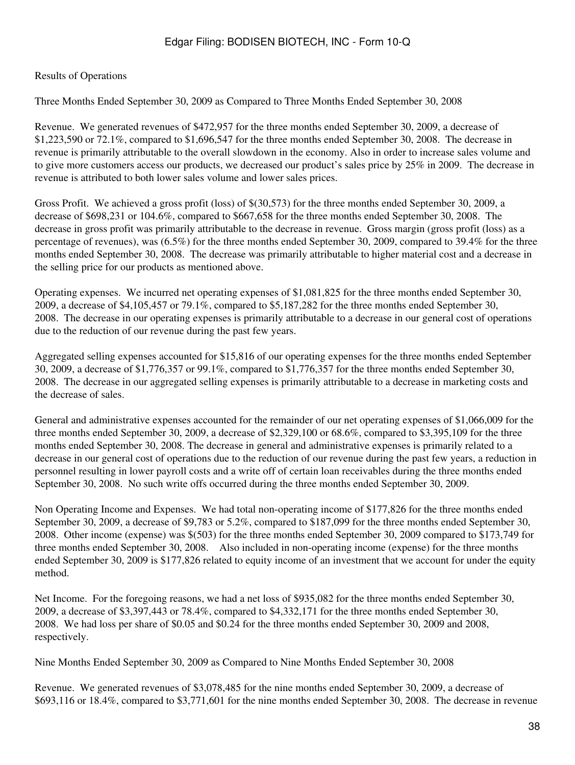### Results of Operations

Three Months Ended September 30, 2009 as Compared to Three Months Ended September 30, 2008

Revenue. We generated revenues of \$472,957 for the three months ended September 30, 2009, a decrease of \$1,223,590 or 72.1%, compared to \$1,696,547 for the three months ended September 30, 2008. The decrease in revenue is primarily attributable to the overall slowdown in the economy. Also in order to increase sales volume and to give more customers access our products, we decreased our product's sales price by 25% in 2009. The decrease in revenue is attributed to both lower sales volume and lower sales prices.

Gross Profit. We achieved a gross profit (loss) of \$(30,573) for the three months ended September 30, 2009, a decrease of \$698,231 or 104.6%, compared to \$667,658 for the three months ended September 30, 2008. The decrease in gross profit was primarily attributable to the decrease in revenue. Gross margin (gross profit (loss) as a percentage of revenues), was (6.5%) for the three months ended September 30, 2009, compared to 39.4% for the three months ended September 30, 2008. The decrease was primarily attributable to higher material cost and a decrease in the selling price for our products as mentioned above.

Operating expenses. We incurred net operating expenses of \$1,081,825 for the three months ended September 30, 2009, a decrease of \$4,105,457 or 79.1%, compared to \$5,187,282 for the three months ended September 30, 2008. The decrease in our operating expenses is primarily attributable to a decrease in our general cost of operations due to the reduction of our revenue during the past few years.

Aggregated selling expenses accounted for \$15,816 of our operating expenses for the three months ended September 30, 2009, a decrease of \$1,776,357 or 99.1%, compared to \$1,776,357 for the three months ended September 30, 2008. The decrease in our aggregated selling expenses is primarily attributable to a decrease in marketing costs and the decrease of sales.

General and administrative expenses accounted for the remainder of our net operating expenses of \$1,066,009 for the three months ended September 30, 2009, a decrease of \$2,329,100 or 68.6%, compared to \$3,395,109 for the three months ended September 30, 2008. The decrease in general and administrative expenses is primarily related to a decrease in our general cost of operations due to the reduction of our revenue during the past few years, a reduction in personnel resulting in lower payroll costs and a write off of certain loan receivables during the three months ended September 30, 2008. No such write offs occurred during the three months ended September 30, 2009.

Non Operating Income and Expenses. We had total non-operating income of \$177,826 for the three months ended September 30, 2009, a decrease of \$9,783 or 5.2%, compared to \$187,099 for the three months ended September 30, 2008. Other income (expense) was \$(503) for the three months ended September 30, 2009 compared to \$173,749 for three months ended September 30, 2008. Also included in non-operating income (expense) for the three months ended September 30, 2009 is \$177,826 related to equity income of an investment that we account for under the equity method.

Net Income. For the foregoing reasons, we had a net loss of \$935,082 for the three months ended September 30, 2009, a decrease of \$3,397,443 or 78.4%, compared to \$4,332,171 for the three months ended September 30, 2008. We had loss per share of \$0.05 and \$0.24 for the three months ended September 30, 2009 and 2008, respectively.

Nine Months Ended September 30, 2009 as Compared to Nine Months Ended September 30, 2008

Revenue. We generated revenues of \$3,078,485 for the nine months ended September 30, 2009, a decrease of \$693,116 or 18.4%, compared to \$3,771,601 for the nine months ended September 30, 2008. The decrease in revenue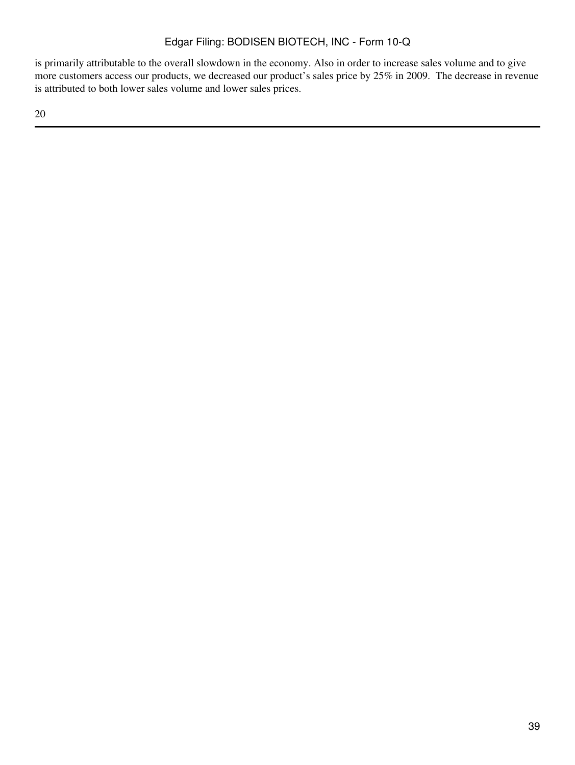is primarily attributable to the overall slowdown in the economy. Also in order to increase sales volume and to give more customers access our products, we decreased our product's sales price by 25% in 2009. The decrease in revenue is attributed to both lower sales volume and lower sales prices.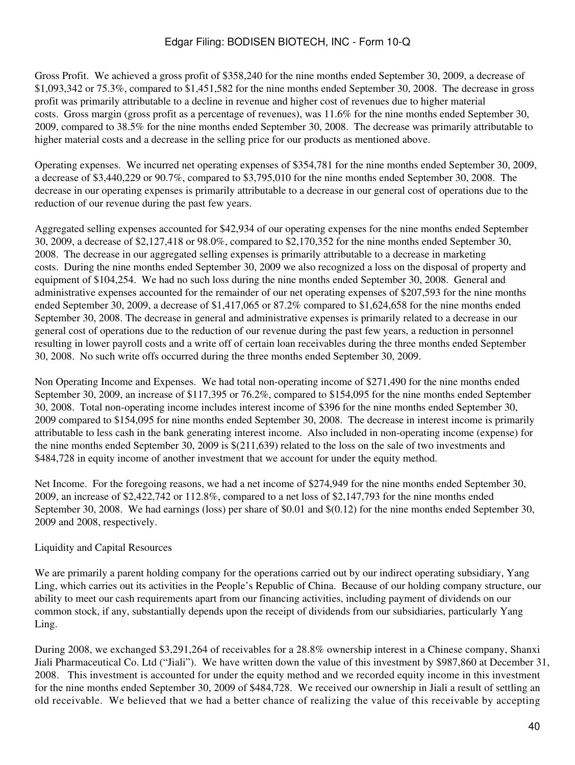Gross Profit. We achieved a gross profit of \$358,240 for the nine months ended September 30, 2009, a decrease of \$1,093,342 or 75.3%, compared to \$1,451,582 for the nine months ended September 30, 2008. The decrease in gross profit was primarily attributable to a decline in revenue and higher cost of revenues due to higher material costs. Gross margin (gross profit as a percentage of revenues), was 11.6% for the nine months ended September 30, 2009, compared to 38.5% for the nine months ended September 30, 2008. The decrease was primarily attributable to higher material costs and a decrease in the selling price for our products as mentioned above.

Operating expenses. We incurred net operating expenses of \$354,781 for the nine months ended September 30, 2009, a decrease of \$3,440,229 or 90.7%, compared to \$3,795,010 for the nine months ended September 30, 2008. The decrease in our operating expenses is primarily attributable to a decrease in our general cost of operations due to the reduction of our revenue during the past few years.

Aggregated selling expenses accounted for \$42,934 of our operating expenses for the nine months ended September 30, 2009, a decrease of \$2,127,418 or 98.0%, compared to \$2,170,352 for the nine months ended September 30, 2008. The decrease in our aggregated selling expenses is primarily attributable to a decrease in marketing costs. During the nine months ended September 30, 2009 we also recognized a loss on the disposal of property and equipment of \$104,254. We had no such loss during the nine months ended September 30, 2008. General and administrative expenses accounted for the remainder of our net operating expenses of \$207,593 for the nine months ended September 30, 2009, a decrease of \$1,417,065 or 87.2% compared to \$1,624,658 for the nine months ended September 30, 2008. The decrease in general and administrative expenses is primarily related to a decrease in our general cost of operations due to the reduction of our revenue during the past few years, a reduction in personnel resulting in lower payroll costs and a write off of certain loan receivables during the three months ended September 30, 2008. No such write offs occurred during the three months ended September 30, 2009.

Non Operating Income and Expenses. We had total non-operating income of \$271,490 for the nine months ended September 30, 2009, an increase of \$117,395 or 76.2%, compared to \$154,095 for the nine months ended September 30, 2008. Total non-operating income includes interest income of \$396 for the nine months ended September 30, 2009 compared to \$154,095 for nine months ended September 30, 2008. The decrease in interest income is primarily attributable to less cash in the bank generating interest income. Also included in non-operating income (expense) for the nine months ended September 30, 2009 is \$(211,639) related to the loss on the sale of two investments and \$484,728 in equity income of another investment that we account for under the equity method.

Net Income. For the foregoing reasons, we had a net income of \$274,949 for the nine months ended September 30, 2009, an increase of \$2,422,742 or 112.8%, compared to a net loss of \$2,147,793 for the nine months ended September 30, 2008. We had earnings (loss) per share of \$0.01 and \$(0.12) for the nine months ended September 30, 2009 and 2008, respectively.

### Liquidity and Capital Resources

We are primarily a parent holding company for the operations carried out by our indirect operating subsidiary, Yang Ling, which carries out its activities in the People's Republic of China. Because of our holding company structure, our ability to meet our cash requirements apart from our financing activities, including payment of dividends on our common stock, if any, substantially depends upon the receipt of dividends from our subsidiaries, particularly Yang Ling.

During 2008, we exchanged \$3,291,264 of receivables for a 28.8% ownership interest in a Chinese company, Shanxi Jiali Pharmaceutical Co. Ltd ("Jiali"). We have written down the value of this investment by \$987,860 at December 31, 2008. This investment is accounted for under the equity method and we recorded equity income in this investment for the nine months ended September 30, 2009 of \$484,728. We received our ownership in Jiali a result of settling an old receivable. We believed that we had a better chance of realizing the value of this receivable by accepting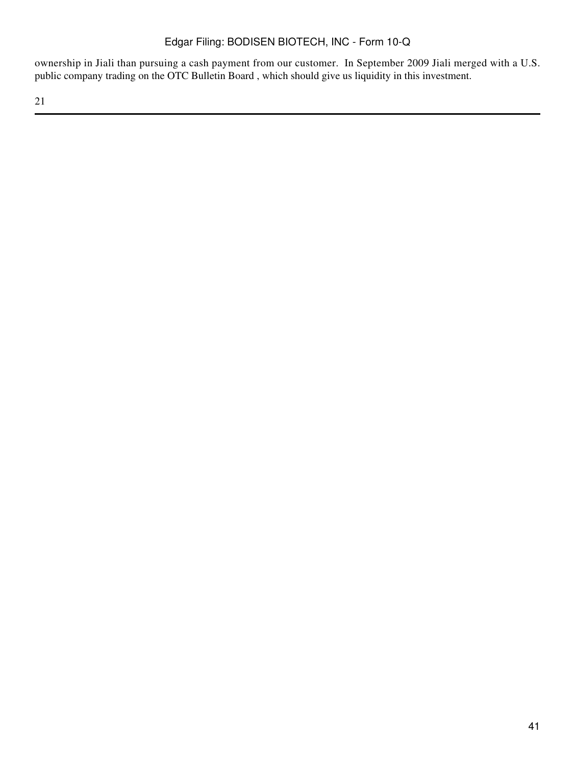ownership in Jiali than pursuing a cash payment from our customer. In September 2009 Jiali merged with a U.S. public company trading on the OTC Bulletin Board , which should give us liquidity in this investment.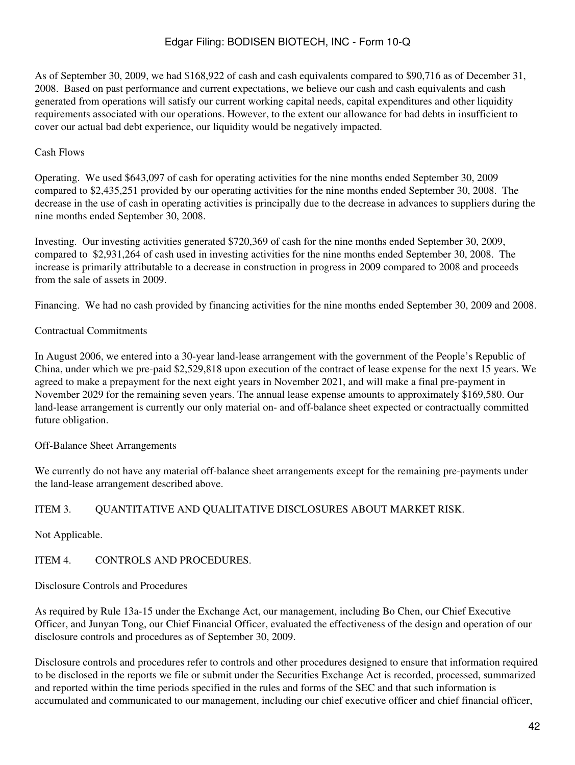As of September 30, 2009, we had \$168,922 of cash and cash equivalents compared to \$90,716 as of December 31, 2008. Based on past performance and current expectations, we believe our cash and cash equivalents and cash generated from operations will satisfy our current working capital needs, capital expenditures and other liquidity requirements associated with our operations. However, to the extent our allowance for bad debts in insufficient to cover our actual bad debt experience, our liquidity would be negatively impacted.

### Cash Flows

Operating. We used \$643,097 of cash for operating activities for the nine months ended September 30, 2009 compared to \$2,435,251 provided by our operating activities for the nine months ended September 30, 2008. The decrease in the use of cash in operating activities is principally due to the decrease in advances to suppliers during the nine months ended September 30, 2008.

Investing. Our investing activities generated \$720,369 of cash for the nine months ended September 30, 2009, compared to \$2,931,264 of cash used in investing activities for the nine months ended September 30, 2008. The increase is primarily attributable to a decrease in construction in progress in 2009 compared to 2008 and proceeds from the sale of assets in 2009.

Financing. We had no cash provided by financing activities for the nine months ended September 30, 2009 and 2008.

#### Contractual Commitments

In August 2006, we entered into a 30-year land-lease arrangement with the government of the People's Republic of China, under which we pre-paid \$2,529,818 upon execution of the contract of lease expense for the next 15 years. We agreed to make a prepayment for the next eight years in November 2021, and will make a final pre-payment in November 2029 for the remaining seven years. The annual lease expense amounts to approximately \$169,580. Our land-lease arrangement is currently our only material on- and off-balance sheet expected or contractually committed future obligation.

Off-Balance Sheet Arrangements

We currently do not have any material off-balance sheet arrangements except for the remaining pre-payments under the land-lease arrangement described above.

### ITEM 3. QUANTITATIVE AND QUALITATIVE DISCLOSURES ABOUT MARKET RISK.

Not Applicable.

ITEM 4 CONTROLS AND PROCEDURES.

Disclosure Controls and Procedures

As required by Rule 13a-15 under the Exchange Act, our management, including Bo Chen, our Chief Executive Officer, and Junyan Tong, our Chief Financial Officer, evaluated the effectiveness of the design and operation of our disclosure controls and procedures as of September 30, 2009.

Disclosure controls and procedures refer to controls and other procedures designed to ensure that information required to be disclosed in the reports we file or submit under the Securities Exchange Act is recorded, processed, summarized and reported within the time periods specified in the rules and forms of the SEC and that such information is accumulated and communicated to our management, including our chief executive officer and chief financial officer,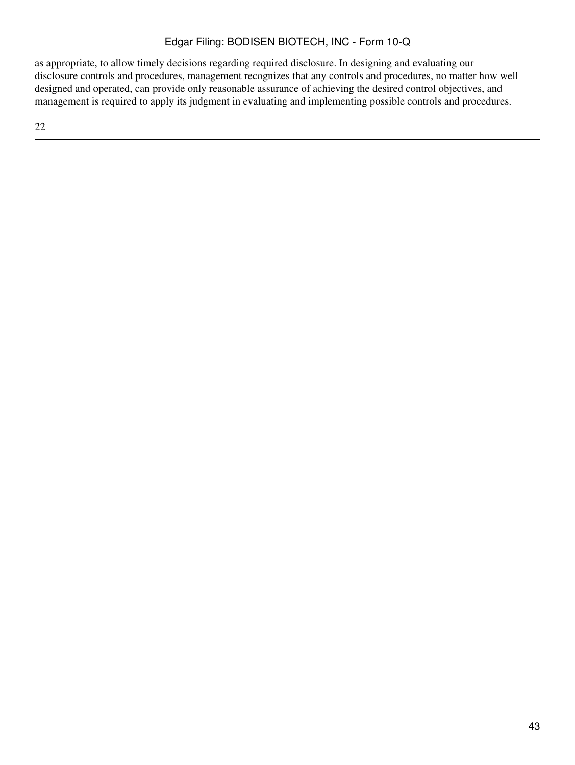as appropriate, to allow timely decisions regarding required disclosure. In designing and evaluating our disclosure controls and procedures, management recognizes that any controls and procedures, no matter how well designed and operated, can provide only reasonable assurance of achieving the desired control objectives, and management is required to apply its judgment in evaluating and implementing possible controls and procedures.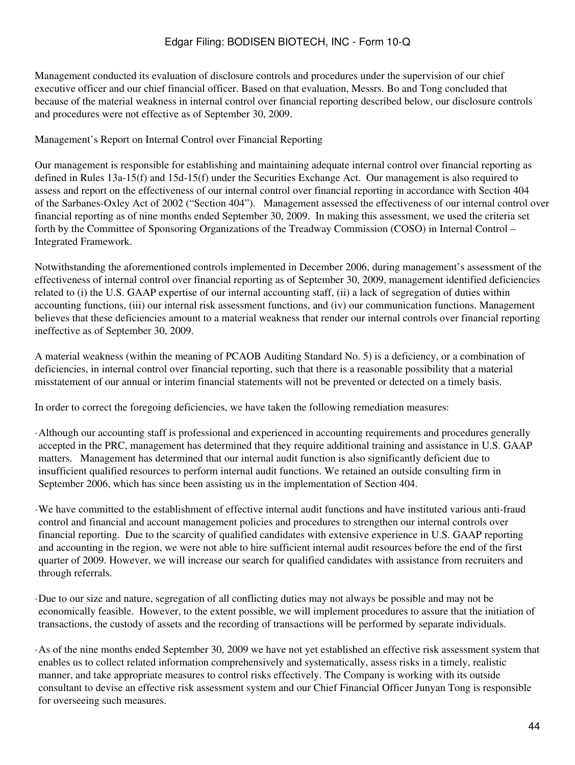Management conducted its evaluation of disclosure controls and procedures under the supervision of our chief executive officer and our chief financial officer. Based on that evaluation, Messrs. Bo and Tong concluded that because of the material weakness in internal control over financial reporting described below, our disclosure controls and procedures were not effective as of September 30, 2009.

Management's Report on Internal Control over Financial Reporting

Our management is responsible for establishing and maintaining adequate internal control over financial reporting as defined in Rules 13a-15(f) and 15d-15(f) under the Securities Exchange Act. Our management is also required to assess and report on the effectiveness of our internal control over financial reporting in accordance with Section 404 of the Sarbanes-Oxley Act of 2002 ("Section 404"). Management assessed the effectiveness of our internal control over financial reporting as of nine months ended September 30, 2009. In making this assessment, we used the criteria set forth by the Committee of Sponsoring Organizations of the Treadway Commission (COSO) in Internal Control – Integrated Framework.

Notwithstanding the aforementioned controls implemented in December 2006, during management's assessment of the effectiveness of internal control over financial reporting as of September 30, 2009, management identified deficiencies related to (i) the U.S. GAAP expertise of our internal accounting staff, (ii) a lack of segregation of duties within accounting functions, (iii) our internal risk assessment functions, and (iv) our communication functions. Management believes that these deficiencies amount to a material weakness that render our internal controls over financial reporting ineffective as of September 30, 2009.

A material weakness (within the meaning of PCAOB Auditing Standard No. 5) is a deficiency, or a combination of deficiencies, in internal control over financial reporting, such that there is a reasonable possibility that a material misstatement of our annual or interim financial statements will not be prevented or detected on a timely basis.

In order to correct the foregoing deficiencies, we have taken the following remediation measures:

- ·Although our accounting staff is professional and experienced in accounting requirements and procedures generally accepted in the PRC, management has determined that they require additional training and assistance in U.S. GAAP matters. Management has determined that our internal audit function is also significantly deficient due to insufficient qualified resources to perform internal audit functions. We retained an outside consulting firm in September 2006, which has since been assisting us in the implementation of Section 404.
- ·We have committed to the establishment of effective internal audit functions and have instituted various anti-fraud control and financial and account management policies and procedures to strengthen our internal controls over financial reporting. Due to the scarcity of qualified candidates with extensive experience in U.S. GAAP reporting and accounting in the region, we were not able to hire sufficient internal audit resources before the end of the first quarter of 2009. However, we will increase our search for qualified candidates with assistance from recruiters and through referrals.
- ·Due to our size and nature, segregation of all conflicting duties may not always be possible and may not be economically feasible. However, to the extent possible, we will implement procedures to assure that the initiation of transactions, the custody of assets and the recording of transactions will be performed by separate individuals.
- ·As of the nine months ended September 30, 2009 we have not yet established an effective risk assessment system that enables us to collect related information comprehensively and systematically, assess risks in a timely, realistic manner, and take appropriate measures to control risks effectively. The Company is working with its outside consultant to devise an effective risk assessment system and our Chief Financial Officer Junyan Tong is responsible for overseeing such measures.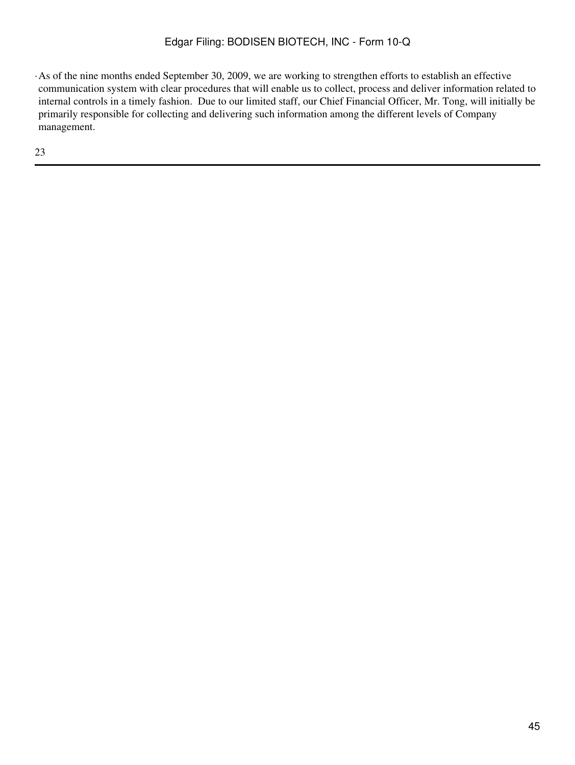·As of the nine months ended September 30, 2009, we are working to strengthen efforts to establish an effective communication system with clear procedures that will enable us to collect, process and deliver information related to internal controls in a timely fashion. Due to our limited staff, our Chief Financial Officer, Mr. Tong, will initially be primarily responsible for collecting and delivering such information among the different levels of Company management.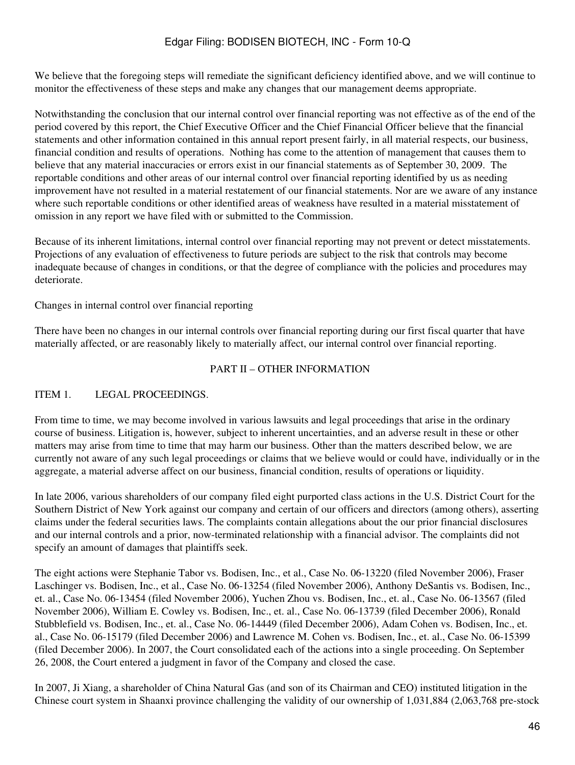We believe that the foregoing steps will remediate the significant deficiency identified above, and we will continue to monitor the effectiveness of these steps and make any changes that our management deems appropriate.

Notwithstanding the conclusion that our internal control over financial reporting was not effective as of the end of the period covered by this report, the Chief Executive Officer and the Chief Financial Officer believe that the financial statements and other information contained in this annual report present fairly, in all material respects, our business, financial condition and results of operations. Nothing has come to the attention of management that causes them to believe that any material inaccuracies or errors exist in our financial statements as of September 30, 2009. The reportable conditions and other areas of our internal control over financial reporting identified by us as needing improvement have not resulted in a material restatement of our financial statements. Nor are we aware of any instance where such reportable conditions or other identified areas of weakness have resulted in a material misstatement of omission in any report we have filed with or submitted to the Commission.

Because of its inherent limitations, internal control over financial reporting may not prevent or detect misstatements. Projections of any evaluation of effectiveness to future periods are subject to the risk that controls may become inadequate because of changes in conditions, or that the degree of compliance with the policies and procedures may deteriorate.

Changes in internal control over financial reporting

There have been no changes in our internal controls over financial reporting during our first fiscal quarter that have materially affected, or are reasonably likely to materially affect, our internal control over financial reporting.

#### PART II – OTHER INFORMATION

#### ITEM 1. LEGAL PROCEEDINGS.

From time to time, we may become involved in various lawsuits and legal proceedings that arise in the ordinary course of business. Litigation is, however, subject to inherent uncertainties, and an adverse result in these or other matters may arise from time to time that may harm our business. Other than the matters described below, we are currently not aware of any such legal proceedings or claims that we believe would or could have, individually or in the aggregate, a material adverse affect on our business, financial condition, results of operations or liquidity.

In late 2006, various shareholders of our company filed eight purported class actions in the U.S. District Court for the Southern District of New York against our company and certain of our officers and directors (among others), asserting claims under the federal securities laws. The complaints contain allegations about the our prior financial disclosures and our internal controls and a prior, now-terminated relationship with a financial advisor. The complaints did not specify an amount of damages that plaintiffs seek.

The eight actions were Stephanie Tabor vs. Bodisen, Inc., et al., Case No. 06-13220 (filed November 2006), Fraser Laschinger vs. Bodisen, Inc., et al., Case No. 06-13254 (filed November 2006), Anthony DeSantis vs. Bodisen, Inc., et. al., Case No. 06-13454 (filed November 2006), Yuchen Zhou vs. Bodisen, Inc., et. al., Case No. 06-13567 (filed November 2006), William E. Cowley vs. Bodisen, Inc., et. al., Case No. 06-13739 (filed December 2006), Ronald Stubblefield vs. Bodisen, Inc., et. al., Case No. 06-14449 (filed December 2006), Adam Cohen vs. Bodisen, Inc., et. al., Case No. 06-15179 (filed December 2006) and Lawrence M. Cohen vs. Bodisen, Inc., et. al., Case No. 06-15399 (filed December 2006). In 2007, the Court consolidated each of the actions into a single proceeding. On September 26, 2008, the Court entered a judgment in favor of the Company and closed the case.

In 2007, Ji Xiang, a shareholder of China Natural Gas (and son of its Chairman and CEO) instituted litigation in the Chinese court system in Shaanxi province challenging the validity of our ownership of 1,031,884 (2,063,768 pre-stock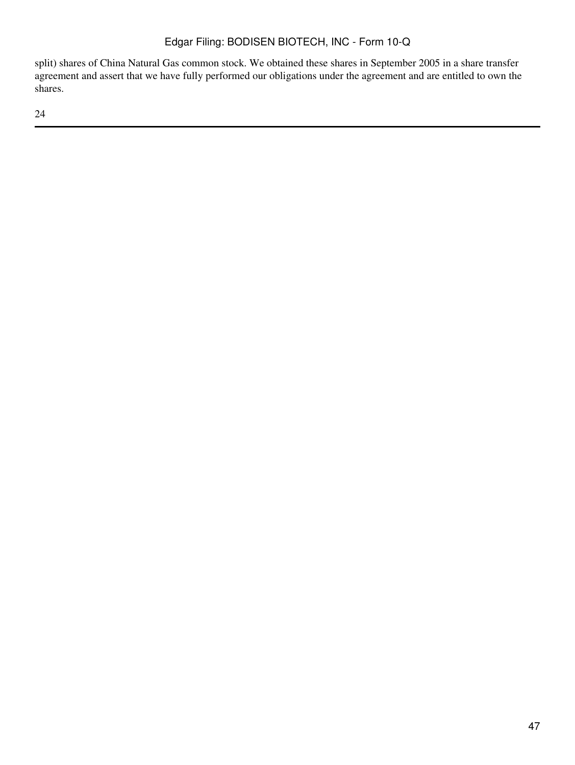split) shares of China Natural Gas common stock. We obtained these shares in September 2005 in a share transfer agreement and assert that we have fully performed our obligations under the agreement and are entitled to own the shares.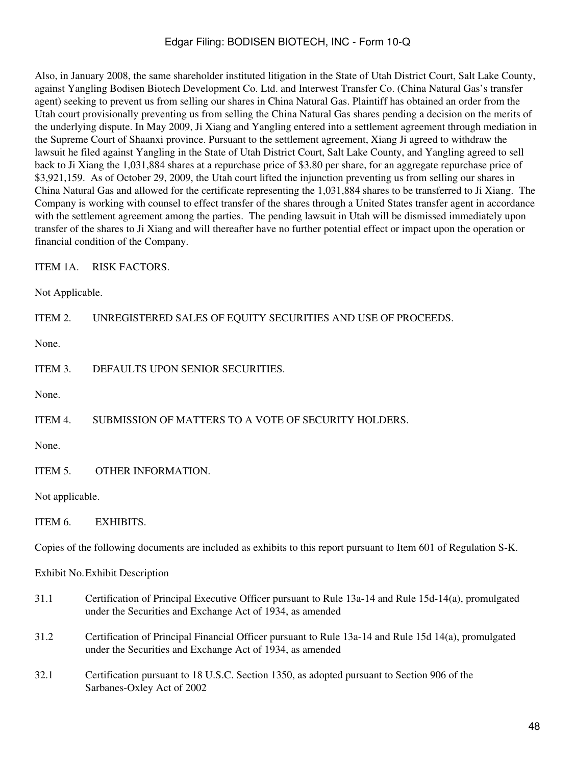Also, in January 2008, the same shareholder instituted litigation in the State of Utah District Court, Salt Lake County, against Yangling Bodisen Biotech Development Co. Ltd. and Interwest Transfer Co. (China Natural Gas's transfer agent) seeking to prevent us from selling our shares in China Natural Gas. Plaintiff has obtained an order from the Utah court provisionally preventing us from selling the China Natural Gas shares pending a decision on the merits of the underlying dispute. In May 2009, Ji Xiang and Yangling entered into a settlement agreement through mediation in the Supreme Court of Shaanxi province. Pursuant to the settlement agreement, Xiang Ji agreed to withdraw the lawsuit he filed against Yangling in the State of Utah District Court, Salt Lake County, and Yangling agreed to sell back to Ji Xiang the 1,031,884 shares at a repurchase price of \$3.80 per share, for an aggregate repurchase price of \$3,921,159. As of October 29, 2009, the Utah court lifted the injunction preventing us from selling our shares in China Natural Gas and allowed for the certificate representing the 1,031,884 shares to be transferred to Ji Xiang. The Company is working with counsel to effect transfer of the shares through a United States transfer agent in accordance with the settlement agreement among the parties. The pending lawsuit in Utah will be dismissed immediately upon transfer of the shares to Ji Xiang and will thereafter have no further potential effect or impact upon the operation or financial condition of the Company.

ITEM 1A. RISK FACTORS.

Not Applicable.

ITEM 2. UNREGISTERED SALES OF EQUITY SECURITIES AND USE OF PROCEEDS.

None.

ITEM 3. DEFAULTS UPON SENIOR SECURITIES.

None.

ITEM 4. SUBMISSION OF MATTERS TO A VOTE OF SECURITY HOLDERS.

None.

ITEM 5. OTHER INFORMATION.

Not applicable.

ITEM 6. EXHIBITS.

Copies of the following documents are included as exhibits to this report pursuant to Item 601 of Regulation S-K.

Exhibit No.Exhibit Description

- 31.1 Certification of Principal Executive Officer pursuant to Rule 13a-14 and Rule 15d-14(a), promulgated under the Securities and Exchange Act of 1934, as amended
- 31.2 Certification of Principal Financial Officer pursuant to Rule 13a-14 and Rule 15d 14(a), promulgated under the Securities and Exchange Act of 1934, as amended
- 32.1 Certification pursuant to 18 U.S.C. Section 1350, as adopted pursuant to Section 906 of the Sarbanes-Oxley Act of 2002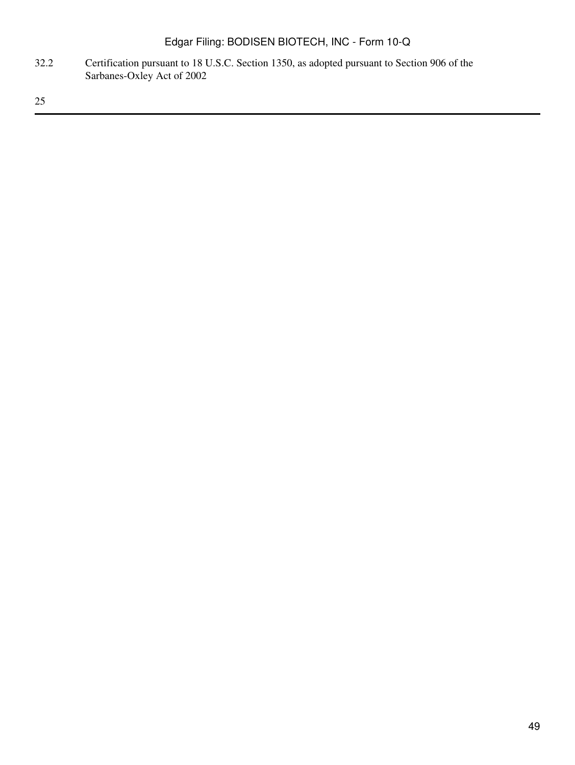32.2 Certification pursuant to 18 U.S.C. Section 1350, as adopted pursuant to Section 906 of the Sarbanes-Oxley Act of 2002